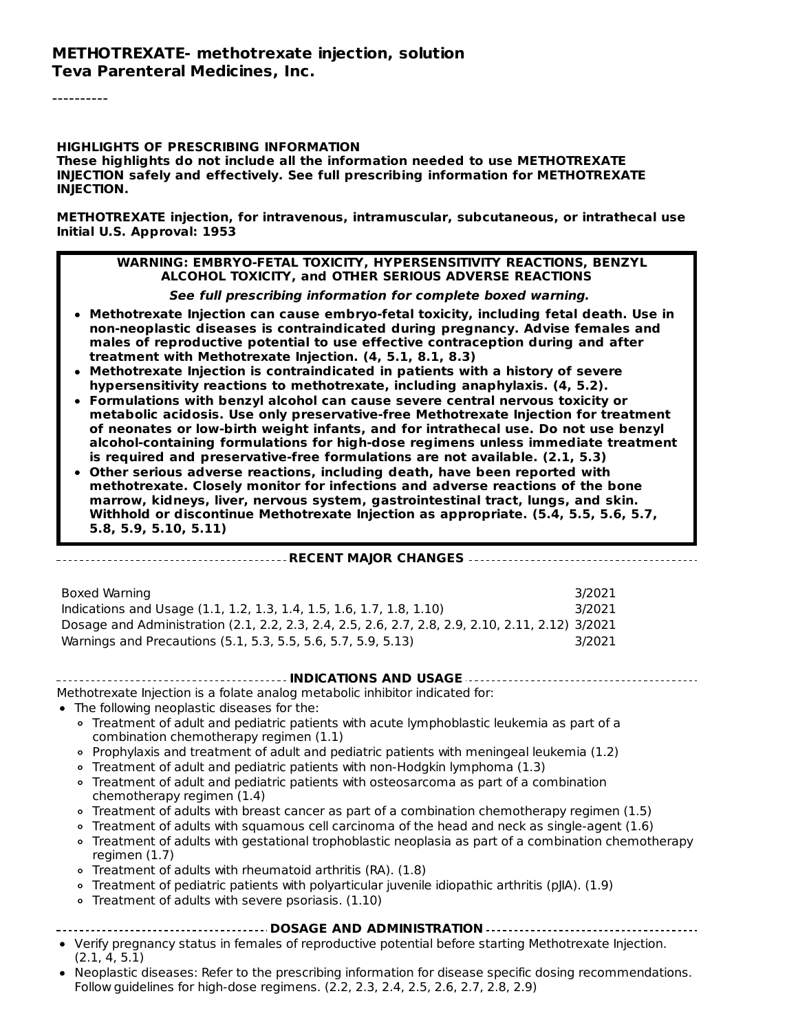----------

#### **HIGHLIGHTS OF PRESCRIBING INFORMATION**

**These highlights do not include all the information needed to use METHOTREXATE INJECTION safely and effectively. See full prescribing information for METHOTREXATE INJECTION.**

**METHOTREXATE injection, for intravenous, intramuscular, subcutaneous, or intrathecal use Initial U.S. Approval: 1953**

#### **WARNING: EMBRYO-FETAL TOXICITY, HYPERSENSITIVITY REACTIONS, BENZYL ALCOHOL TOXICITY, and OTHER SERIOUS ADVERSE REACTIONS**

**See full prescribing information for complete boxed warning.**

- **Methotrexate Injection can cause embryo-fetal toxicity, including fetal death. Use in non-neoplastic diseases is contraindicated during pregnancy. Advise females and males of reproductive potential to use effective contraception during and after treatment with Methotrexate Injection. (4, 5.1, 8.1, 8.3)**
- **Methotrexate Injection is contraindicated in patients with a history of severe hypersensitivity reactions to methotrexate, including anaphylaxis. (4, 5.2).**
- **Formulations with benzyl alcohol can cause severe central nervous toxicity or metabolic acidosis. Use only preservative-free Methotrexate Injection for treatment of neonates or low-birth weight infants, and for intrathecal use. Do not use benzyl alcohol-containing formulations for high-dose regimens unless immediate treatment is required and preservative-free formulations are not available. (2.1, 5.3)**
- **Other serious adverse reactions, including death, have been reported with methotrexate. Closely monitor for infections and adverse reactions of the bone marrow, kidneys, liver, nervous system, gastrointestinal tract, lungs, and skin. Withhold or discontinue Methotrexate Injection as appropriate. (5.4, 5.5, 5.6, 5.7, 5.8, 5.9, 5.10, 5.11)**

#### **RECENT MAJOR CHANGES**

| Boxed Warning                                                                                    | 3/2021 |
|--------------------------------------------------------------------------------------------------|--------|
| Indications and Usage (1.1, 1.2, 1.3, 1.4, 1.5, 1.6, 1.7, 1.8, 1.10)                             | 3/2021 |
| Dosage and Administration (2.1, 2.2, 2.3, 2.4, 2.5, 2.6, 2.7, 2.8, 2.9, 2.10, 2.11, 2.12) 3/2021 |        |
| Warnings and Precautions (5.1, 5.3, 5.5, 5.6, 5.7, 5.9, 5.13)                                    | 3/2021 |

#### **INDICATIONS AND USAGE**

Methotrexate Injection is a folate analog metabolic inhibitor indicated for:

- The following neoplastic diseases for the:
	- Treatment of adult and pediatric patients with acute lymphoblastic leukemia as part of a combination chemotherapy regimen (1.1)
	- Prophylaxis and treatment of adult and pediatric patients with meningeal leukemia (1.2)
	- Treatment of adult and pediatric patients with non-Hodgkin lymphoma (1.3)
	- Treatment of adult and pediatric patients with osteosarcoma as part of a combination chemotherapy regimen (1.4)
	- Treatment of adults with breast cancer as part of a combination chemotherapy regimen (1.5)
	- Treatment of adults with squamous cell carcinoma of the head and neck as single-agent (1.6)
	- Treatment of adults with gestational trophoblastic neoplasia as part of a combination chemotherapy regimen (1.7)
	- Treatment of adults with rheumatoid arthritis (RA). (1.8)
	- Treatment of pediatric patients with polyarticular juvenile idiopathic arthritis (pJIA). (1.9)
	- o Treatment of adults with severe psoriasis. (1.10)

#### **DOSAGE AND ADMINISTRATION**

- Verify pregnancy status in females of reproductive potential before starting Methotrexate Injection. (2.1, 4, 5.1)
- Neoplastic diseases: Refer to the prescribing information for disease specific dosing recommendations. Follow guidelines for high-dose regimens. (2.2, 2.3, 2.4, 2.5, 2.6, 2.7, 2.8, 2.9)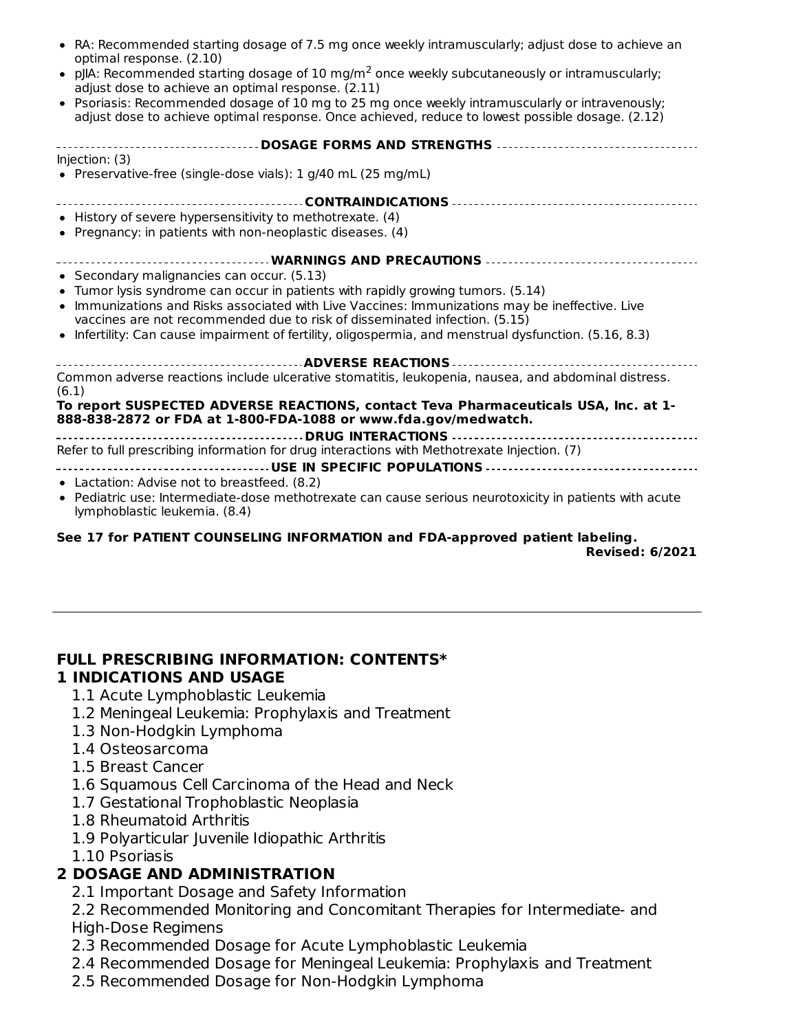| • RA: Recommended starting dosage of 7.5 mg once weekly intramuscularly; adjust dose to achieve an<br>optimal response. (2.10)                                                                      |  |  |  |  |
|-----------------------------------------------------------------------------------------------------------------------------------------------------------------------------------------------------|--|--|--|--|
| • pJIA: Recommended starting dosage of 10 mg/m <sup>2</sup> once weekly subcutaneously or intramuscularly;<br>adjust dose to achieve an optimal response. (2.11)                                    |  |  |  |  |
| • Psoriasis: Recommended dosage of 10 mg to 25 mg once weekly intramuscularly or intravenously;<br>adjust dose to achieve optimal response. Once achieved, reduce to lowest possible dosage. (2.12) |  |  |  |  |
| ------------------------DOSAGE FORMS AND STRENGTHS -----------------------------------                                                                                                              |  |  |  |  |
| Injection: (3)                                                                                                                                                                                      |  |  |  |  |
| • Preservative-free (single-dose vials): 1 g/40 mL (25 mg/mL)                                                                                                                                       |  |  |  |  |
|                                                                                                                                                                                                     |  |  |  |  |
| • History of severe hypersensitivity to methotrexate. (4)                                                                                                                                           |  |  |  |  |
| • Pregnancy: in patients with non-neoplastic diseases. (4)                                                                                                                                          |  |  |  |  |
| ------------------------------------- WARNINGS AND PRECAUTIONS -----------------------------------                                                                                                  |  |  |  |  |
| • Secondary malignancies can occur. (5.13)                                                                                                                                                          |  |  |  |  |
| • Tumor lysis syndrome can occur in patients with rapidly growing tumors. (5.14)                                                                                                                    |  |  |  |  |
| • Immunizations and Risks associated with Live Vaccines: Immunizations may be ineffective. Live                                                                                                     |  |  |  |  |
| vaccines are not recommended due to risk of disseminated infection. (5.15)                                                                                                                          |  |  |  |  |
| • Infertility: Can cause impairment of fertility, oligospermia, and menstrual dysfunction. (5.16, 8.3)                                                                                              |  |  |  |  |
|                                                                                                                                                                                                     |  |  |  |  |
| Common adverse reactions include ulcerative stomatitis, leukopenia, nausea, and abdominal distress.<br>(6.1)                                                                                        |  |  |  |  |
| To report SUSPECTED ADVERSE REACTIONS, contact Teva Pharmaceuticals USA, Inc. at 1-<br>888-838-2872 or FDA at 1-800-FDA-1088 or www.fda.gov/medwatch.                                               |  |  |  |  |
|                                                                                                                                                                                                     |  |  |  |  |
| Refer to full prescribing information for drug interactions with Methotrexate Injection. (7)                                                                                                        |  |  |  |  |
|                                                                                                                                                                                                     |  |  |  |  |
| • Lactation: Advise not to breastfeed. (8.2)                                                                                                                                                        |  |  |  |  |
| • Pediatric use: Intermediate-dose methotrexate can cause serious neurotoxicity in patients with acute                                                                                              |  |  |  |  |

lymphoblastic leukemia. (8.4) **See 17 for PATIENT COUNSELING INFORMATION and FDA-approved patient labeling.**

**Revised: 6/2021**

#### **FULL PRESCRIBING INFORMATION: CONTENTS\* 1 INDICATIONS AND USAGE**

- 1.1 Acute Lymphoblastic Leukemia
- 1.2 Meningeal Leukemia: Prophylaxis and Treatment
- 1.3 Non-Hodgkin Lymphoma
- 1.4 Osteosarcoma
- 1.5 Breast Cancer
- 1.6 Squamous Cell Carcinoma of the Head and Neck
- 1.7 Gestational Trophoblastic Neoplasia
- 1.8 Rheumatoid Arthritis
- 1.9 Polyarticular Juvenile Idiopathic Arthritis
- 1.10 Psoriasis

# **2 DOSAGE AND ADMINISTRATION**

2.1 Important Dosage and Safety Information

2.2 Recommended Monitoring and Concomitant Therapies for Intermediate- and High-Dose Regimens

- 2.3 Recommended Dosage for Acute Lymphoblastic Leukemia
- 2.4 Recommended Dosage for Meningeal Leukemia: Prophylaxis and Treatment
- 2.5 Recommended Dosage for Non-Hodgkin Lymphoma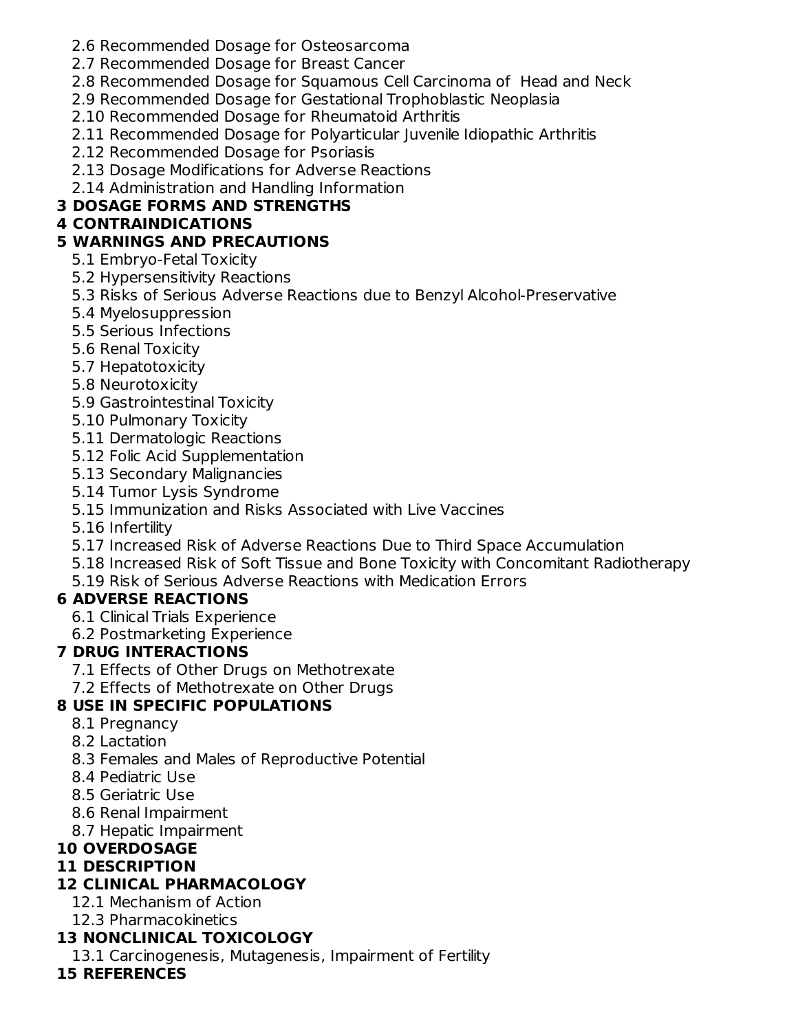- 2.6 Recommended Dosage for Osteosarcoma
- 2.7 Recommended Dosage for Breast Cancer
- 2.8 Recommended Dosage for Squamous Cell Carcinoma of Head and Neck
- 2.9 Recommended Dosage for Gestational Trophoblastic Neoplasia
- 2.10 Recommended Dosage for Rheumatoid Arthritis
- 2.11 Recommended Dosage for Polyarticular Juvenile Idiopathic Arthritis
- 2.12 Recommended Dosage for Psoriasis
- 2.13 Dosage Modifications for Adverse Reactions
- 2.14 Administration and Handling Information

## **3 DOSAGE FORMS AND STRENGTHS**

## **4 CONTRAINDICATIONS**

## **5 WARNINGS AND PRECAUTIONS**

- 5.1 Embryo-Fetal Toxicity
- 5.2 Hypersensitivity Reactions
- 5.3 Risks of Serious Adverse Reactions due to Benzyl Alcohol-Preservative
- 5.4 Myelosuppression
- 5.5 Serious Infections
- 5.6 Renal Toxicity
- 5.7 Hepatotoxicity
- 5.8 Neurotoxicity
- 5.9 Gastrointestinal Toxicity
- 5.10 Pulmonary Toxicity
- 5.11 Dermatologic Reactions
- 5.12 Folic Acid Supplementation
- 5.13 Secondary Malignancies
- 5.14 Tumor Lysis Syndrome
- 5.15 Immunization and Risks Associated with Live Vaccines

5.16 Infertility

- 5.17 Increased Risk of Adverse Reactions Due to Third Space Accumulation
- 5.18 Increased Risk of Soft Tissue and Bone Toxicity with Concomitant Radiotherapy
- 5.19 Risk of Serious Adverse Reactions with Medication Errors

# **6 ADVERSE REACTIONS**

- 6.1 Clinical Trials Experience
- 6.2 Postmarketing Experience

## **7 DRUG INTERACTIONS**

- 7.1 Effects of Other Drugs on Methotrexate
- 7.2 Effects of Methotrexate on Other Drugs

# **8 USE IN SPECIFIC POPULATIONS**

- 8.1 Pregnancy
- 8.2 Lactation
- 8.3 Females and Males of Reproductive Potential
- 8.4 Pediatric Use
- 8.5 Geriatric Use
- 8.6 Renal Impairment
- 8.7 Hepatic Impairment

# **10 OVERDOSAGE**

## **11 DESCRIPTION**

# **12 CLINICAL PHARMACOLOGY**

- 12.1 Mechanism of Action
- 12.3 Pharmacokinetics

# **13 NONCLINICAL TOXICOLOGY**

13.1 Carcinogenesis, Mutagenesis, Impairment of Fertility

## **15 REFERENCES**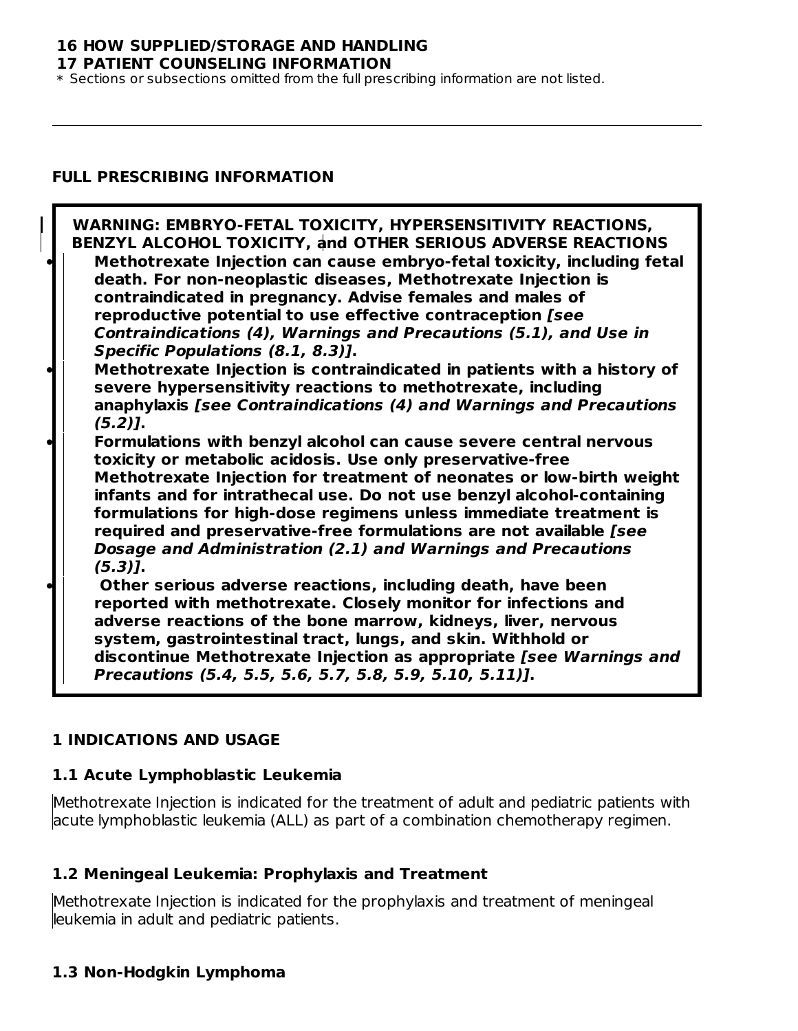### **16 HOW SUPPLIED/STORAGE AND HANDLING**

**17 PATIENT COUNSELING INFORMATION**

\* Sections or subsections omitted from the full prescribing information are not listed.

### **FULL PRESCRIBING INFORMATION**

| WARNING: EMBRYO-FETAL TOXICITY, HYPERSENSITIVITY REACTIONS,<br>BENZYL ALCOHOL TOXICITY, and OTHER SERIOUS ADVERSE REACTIONS<br>Methotrexate Injection can cause embryo-fetal toxicity, including fetal<br>death. For non-neoplastic diseases, Methotrexate Injection is<br>contraindicated in pregnancy. Advise females and males of                                                                                                                                                                      |
|-----------------------------------------------------------------------------------------------------------------------------------------------------------------------------------------------------------------------------------------------------------------------------------------------------------------------------------------------------------------------------------------------------------------------------------------------------------------------------------------------------------|
| reproductive potential to use effective contraception [see<br>Contraindications (4), Warnings and Precautions (5.1), and Use in<br>Specific Populations (8.1, 8.3)].                                                                                                                                                                                                                                                                                                                                      |
| Methotrexate Injection is contraindicated in patients with a history of<br>severe hypersensitivity reactions to methotrexate, including<br>anaphylaxis [see Contraindications (4) and Warnings and Precautions<br>$(5.2)$ ].                                                                                                                                                                                                                                                                              |
| Formulations with benzyl alcohol can cause severe central nervous<br>toxicity or metabolic acidosis. Use only preservative-free<br>Methotrexate Injection for treatment of neonates or low-birth weight<br>infants and for intrathecal use. Do not use benzyl alcohol-containing<br>formulations for high-dose regimens unless immediate treatment is<br>required and preservative-free formulations are not available [see<br>Dosage and Administration (2.1) and Warnings and Precautions<br>$(5.3)$ ]. |
| Other serious adverse reactions, including death, have been<br>reported with methotrexate. Closely monitor for infections and<br>adverse reactions of the bone marrow, kidneys, liver, nervous<br>system, gastrointestinal tract, lungs, and skin. Withhold or<br>discontinue Methotrexate Injection as appropriate [see Warnings and<br>Precautions (5.4, 5.5, 5.6, 5.7, 5.8, 5.9, 5.10, 5.11)].                                                                                                         |

### **1 INDICATIONS AND USAGE**

#### **1.1 Acute Lymphoblastic Leukemia**

Methotrexate Injection is indicated for the treatment of adult and pediatric patients with acute lymphoblastic leukemia (ALL) as part of a combination chemotherapy regimen.

### **1.2 Meningeal Leukemia: Prophylaxis and Treatment**

Methotrexate Injection is indicated for the prophylaxis and treatment of meningeal leukemia in adult and pediatric patients.

### **1.3 Non-Hodgkin Lymphoma**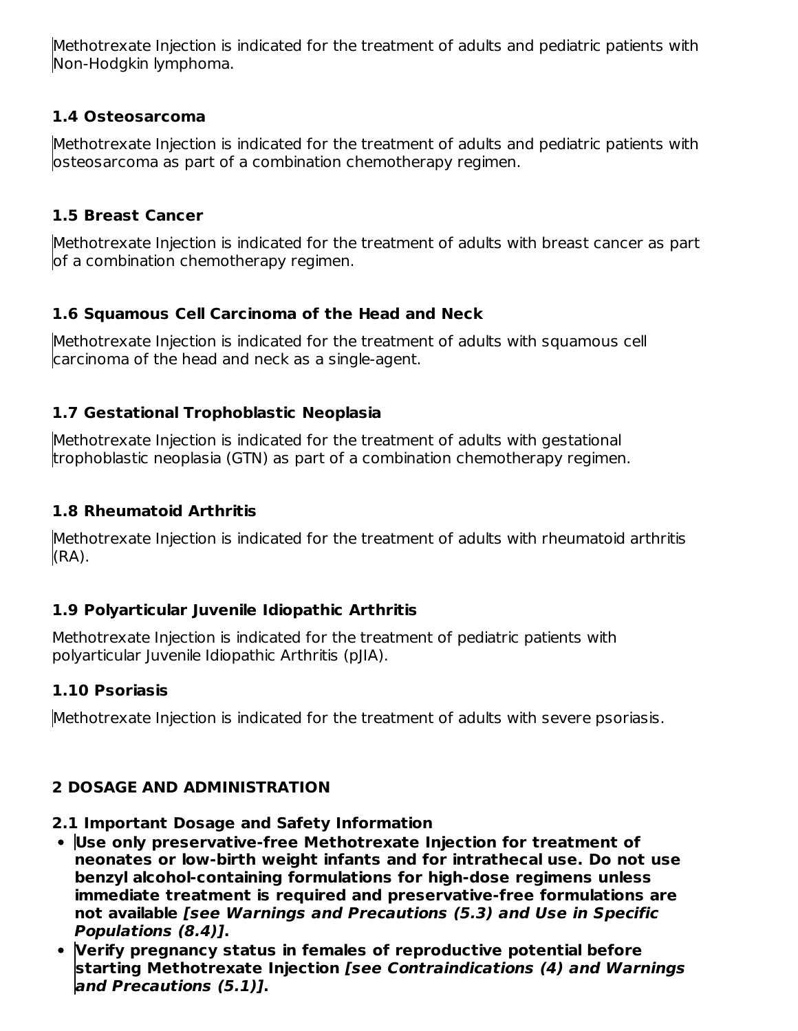Methotrexate Injection is indicated for the treatment of adults and pediatric patients with Non-Hodgkin lymphoma.

## **1.4 Osteosarcoma**

Methotrexate Injection is indicated for the treatment of adults and pediatric patients with osteosarcoma as part of a combination chemotherapy regimen.

## **1.5 Breast Cancer**

Methotrexate Injection is indicated for the treatment of adults with breast cancer as part of a combination chemotherapy regimen.

## **1.6 Squamous Cell Carcinoma of the Head and Neck**

Methotrexate Injection is indicated for the treatment of adults with squamous cell carcinoma of the head and neck as a single-agent.

## **1.7 Gestational Trophoblastic Neoplasia**

Methotrexate Injection is indicated for the treatment of adults with gestational trophoblastic neoplasia (GTN) as part of a combination chemotherapy regimen.

## **1.8 Rheumatoid Arthritis**

Methotrexate Injection is indicated for the treatment of adults with rheumatoid arthritis (RA).

## **1.9 Polyarticular Juvenile Idiopathic Arthritis**

Methotrexate Injection is indicated for the treatment of pediatric patients with polyarticular Juvenile Idiopathic Arthritis (pJIA).

## **1.10 Psoriasis**

Methotrexate Injection is indicated for the treatment of adults with severe psoriasis.

## **2 DOSAGE AND ADMINISTRATION**

# **2.1 Important Dosage and Safety Information**

- **Use only preservative-free Methotrexate Injection for treatment of neonates or low-birth weight infants and for intrathecal use. Do not use benzyl alcohol-containing formulations for high-dose regimens unless immediate treatment is required and preservative-free formulations are not available [see Warnings and Precautions (5.3) and Use in Specific Populations (8.4)].**
- **Verify pregnancy status in females of reproductive potential before starting Methotrexate Injection [see Contraindications (4) and Warnings and Precautions (5.1)].**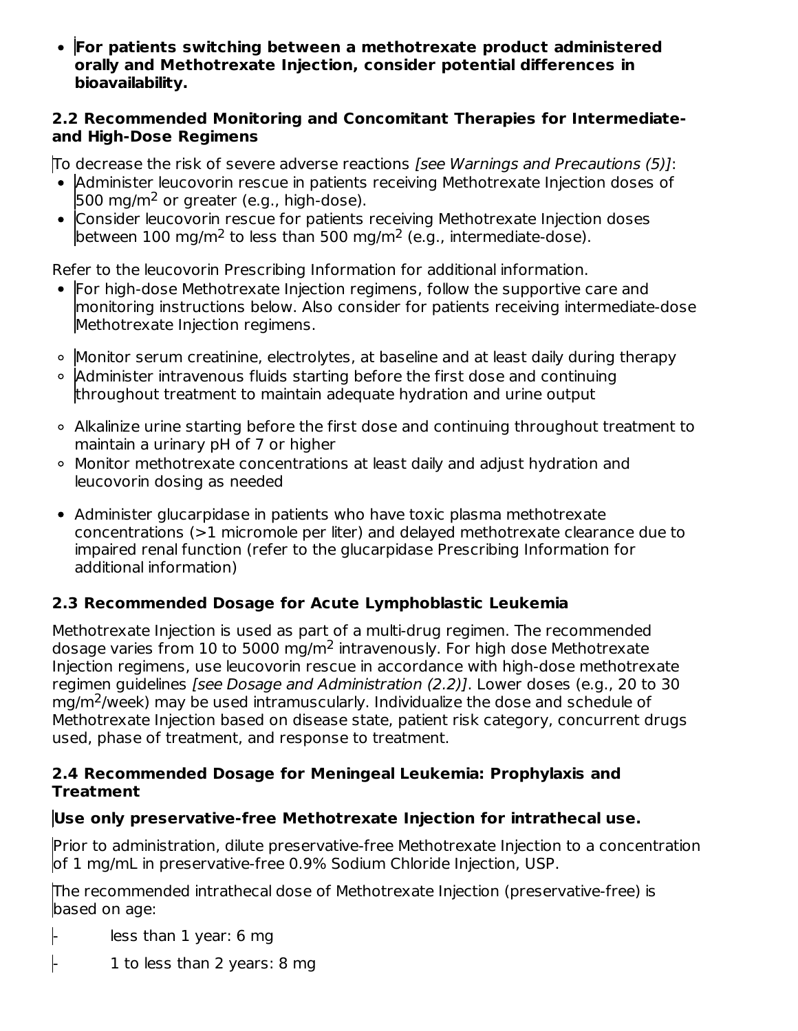**For patients switching between a methotrexate product administered orally and Methotrexate Injection, consider potential differences in bioavailability.**

### **2.2 Recommended Monitoring and Concomitant Therapies for Intermediateand High-Dose Regimens**

To decrease the risk of severe adverse reactions [see Warnings and Precautions (5)]:

- Administer leucovorin rescue in patients receiving Methotrexate Injection doses of 500 mg/m<sup>2</sup> or greater (e.g., high-dose).
- Consider leucovorin rescue for patients receiving Methotrexate Injection doses between 100 mg/m<sup>2</sup> to less than 500 mg/m<sup>2</sup> (e.g., intermediate-dose).

Refer to the leucovorin Prescribing Information for additional information.

- For high-dose Methotrexate Injection regimens, follow the supportive care and monitoring instructions below. Also consider for patients receiving intermediate-dose Methotrexate Injection regimens.
- Monitor serum creatinine, electrolytes, at baseline and at least daily during therapy
- $\circ$  Administer intravenous fluids starting before the first dose and continuing throughout treatment to maintain adequate hydration and urine output
- Alkalinize urine starting before the first dose and continuing throughout treatment to maintain a urinary pH of 7 or higher
- Monitor methotrexate concentrations at least daily and adjust hydration and leucovorin dosing as needed
- Administer glucarpidase in patients who have toxic plasma methotrexate concentrations (>1 micromole per liter) and delayed methotrexate clearance due to impaired renal function (refer to the glucarpidase Prescribing Information for additional information)

## **2.3 Recommended Dosage for Acute Lymphoblastic Leukemia**

Methotrexate Injection is used as part of a multi-drug regimen. The recommended dosage varies from 10 to 5000 mg/m<sup>2</sup> intravenously. For high dose Methotrexate Injection regimens, use leucovorin rescue in accordance with high-dose methotrexate regimen guidelines [see Dosage and Administration (2.2)]. Lower doses (e.g., 20 to 30 mg/m<sup>2</sup>/week) may be used intramuscularly. Individualize the dose and schedule of Methotrexate Injection based on disease state, patient risk category, concurrent drugs used, phase of treatment, and response to treatment.

### **2.4 Recommended Dosage for Meningeal Leukemia: Prophylaxis and Treatment**

## **Use only preservative-free Methotrexate Injection for intrathecal use.**

Prior to administration, dilute preservative-free Methotrexate Injection to a concentration of 1 mg/mL in preservative-free 0.9% Sodium Chloride Injection, USP.

The recommended intrathecal dose of Methotrexate Injection (preservative-free) is based on age:

- less than 1 year: 6 mg

 $\vert$ - 1 to less than 2 years: 8 mg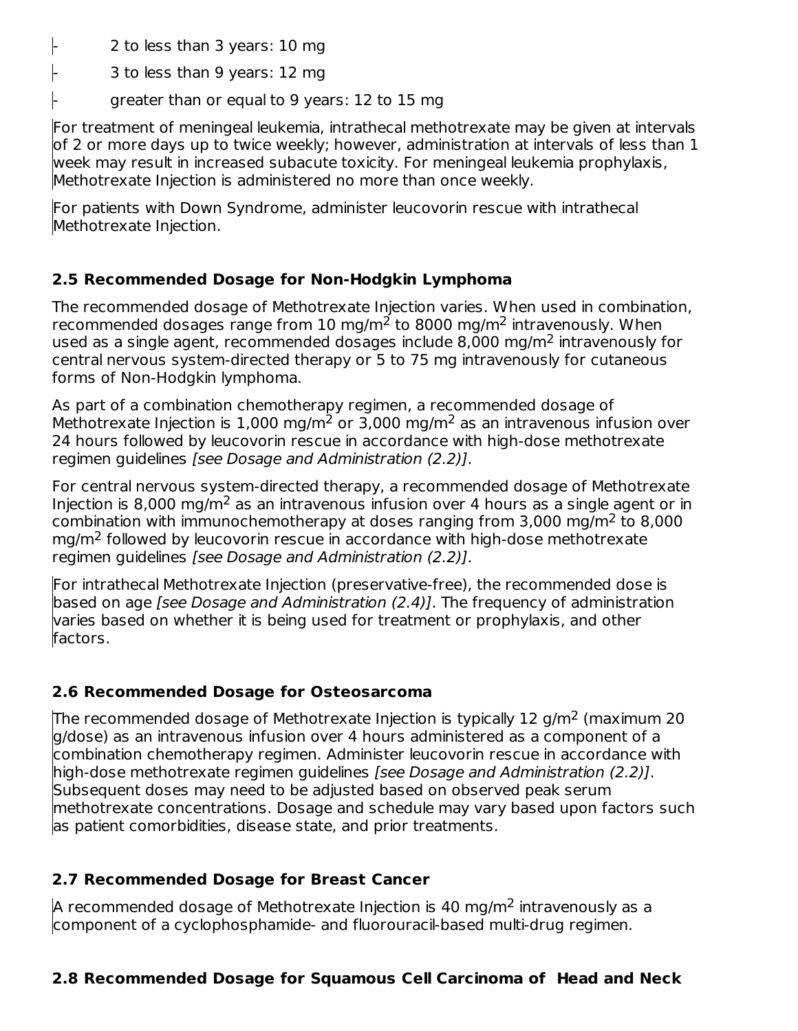$\vert$ - 2 to less than 3 years: 10 mg

- 3 to less than 9 years: 12 mg

greater than or equal to 9 years: 12 to 15 mg

For treatment of meningeal leukemia, intrathecal methotrexate may be given at intervals of 2 or more days up to twice weekly; however, administration at intervals of less than 1 week may result in increased subacute toxicity. For meningeal leukemia prophylaxis, Methotrexate Injection is administered no more than once weekly.

For patients with Down Syndrome, administer leucovorin rescue with intrathecal Methotrexate Injection.

## **2.5 Recommended Dosage for Non-Hodgkin Lymphoma**

The recommended dosage of Methotrexate Injection varies. When used in combination, recommended dosages range from 10 mg/m<sup>2</sup> to 8000 mg/m<sup>2</sup> intravenously. When used as a single agent, recommended dosages include 8,000 mg/m<sup>2</sup> intravenously for central nervous system-directed therapy or 5 to 75 mg intravenously for cutaneous forms of Non-Hodgkin lymphoma.

As part of a combination chemotherapy regimen, a recommended dosage of Methotrexate Injection is 1,000 mg/m<sup>2</sup> or 3,000 mg/m<sup>2</sup> as an intravenous infusion over 24 hours followed by leucovorin rescue in accordance with high-dose methotrexate regimen guidelines [see Dosage and Administration (2.2)].

For central nervous system-directed therapy, a recommended dosage of Methotrexate Injection is 8,000 mg/m<sup>2</sup> as an intravenous infusion over 4 hours as a single agent or in combination with immunochemotherapy at doses ranging from 3,000 mg/m<sup>2</sup> to 8,000  $mg/m<sup>2</sup>$  followed by leucovorin rescue in accordance with high-dose methotrexate regimen guidelines [see Dosage and Administration (2.2)].

For intrathecal Methotrexate Injection (preservative-free), the recommended dose is based on age [see Dosage and Administration (2.4)]. The frequency of administration varies based on whether it is being used for treatment or prophylaxis, and other factors.

## **2.6 Recommended Dosage for Osteosarcoma**

The recommended dosage of Methotrexate Injection is typically 12 g/m<sup>2</sup> (maximum 20 g/dose) as an intravenous infusion over 4 hours administered as a component of a combination chemotherapy regimen. Administer leucovorin rescue in accordance with high-dose methotrexate regimen quidelines [see Dosage and Administration (2.2)]. Subsequent doses may need to be adjusted based on observed peak serum methotrexate concentrations. Dosage and schedule may vary based upon factors such as patient comorbidities, disease state, and prior treatments.

# **2.7 Recommended Dosage for Breast Cancer**

A recommended dosage of Methotrexate Injection is 40 mg/m<sup>2</sup> intravenously as a component of a cyclophosphamide- and fluorouracil-based multi-drug regimen.

## **2.8 Recommended Dosage for Squamous Cell Carcinoma of Head and Neck**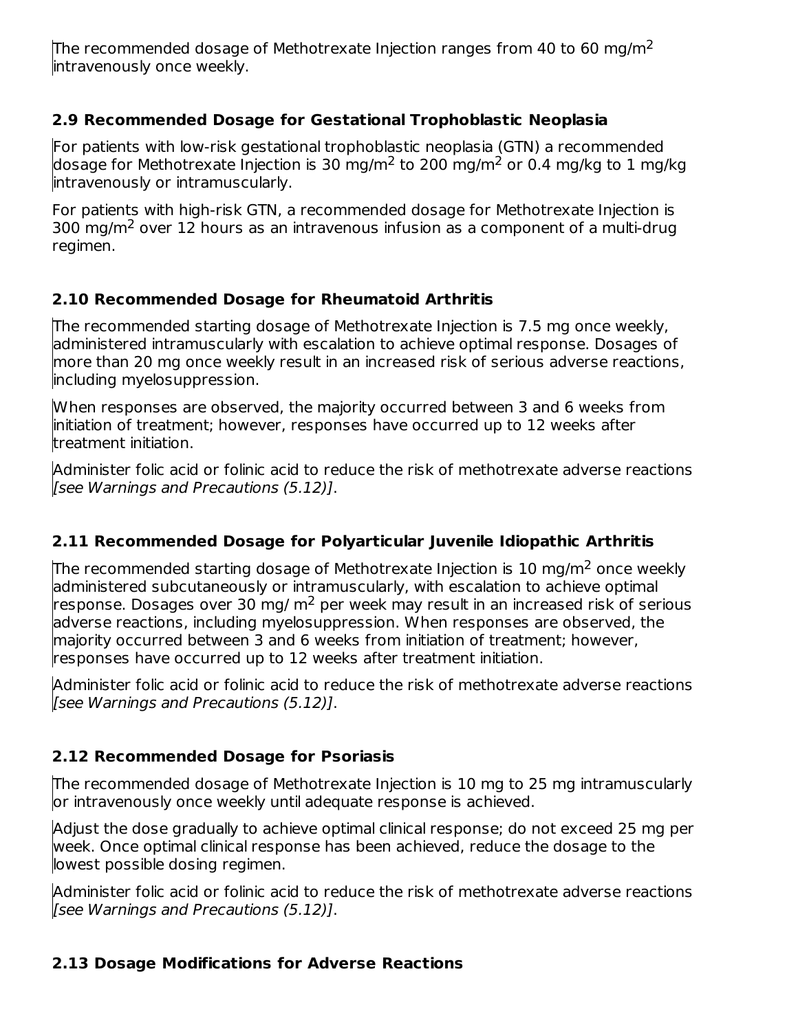The recommended dosage of Methotrexate Injection ranges from 40 to 60 mg/m<sup>2</sup> intravenously once weekly.

## **2.9 Recommended Dosage for Gestational Trophoblastic Neoplasia**

For patients with low-risk gestational trophoblastic neoplasia (GTN) a recommended dosage for Methotrexate Injection is 30 mg/m<sup>2</sup> to 200 mg/m<sup>2</sup> or 0.4 mg/kg to 1 mg/kg intravenously or intramuscularly.

For patients with high-risk GTN, a recommended dosage for Methotrexate Injection is 300 mg/m<sup>2</sup> over 12 hours as an intravenous infusion as a component of a multi-drug regimen.

## **2.10 Recommended Dosage for Rheumatoid Arthritis**

The recommended starting dosage of Methotrexate Injection is 7.5 mg once weekly, administered intramuscularly with escalation to achieve optimal response. Dosages of more than 20 mg once weekly result in an increased risk of serious adverse reactions, including myelosuppression.

When responses are observed, the majority occurred between 3 and 6 weeks from initiation of treatment; however, responses have occurred up to 12 weeks after treatment initiation.

Administer folic acid or folinic acid to reduce the risk of methotrexate adverse reactions [see Warnings and Precautions (5.12)].

## **2.11 Recommended Dosage for Polyarticular Juvenile Idiopathic Arthritis**

The recommended starting dosage of Methotrexate Injection is  $10$  mg/m<sup>2</sup> once weekly administered subcutaneously or intramuscularly, with escalation to achieve optimal response. Dosages over 30 mg/  $m<sup>2</sup>$  per week may result in an increased risk of serious adverse reactions, including myelosuppression. When responses are observed, the majority occurred between 3 and 6 weeks from initiation of treatment; however, responses have occurred up to 12 weeks after treatment initiation.

Administer folic acid or folinic acid to reduce the risk of methotrexate adverse reactions [see Warnings and Precautions (5.12)].

## **2.12 Recommended Dosage for Psoriasis**

The recommended dosage of Methotrexate Injection is 10 mg to 25 mg intramuscularly or intravenously once weekly until adequate response is achieved.

Adjust the dose gradually to achieve optimal clinical response; do not exceed 25 mg per week. Once optimal clinical response has been achieved, reduce the dosage to the lowest possible dosing regimen.

Administer folic acid or folinic acid to reduce the risk of methotrexate adverse reactions [see Warnings and Precautions (5.12)].

## **2.13 Dosage Modifications for Adverse Reactions**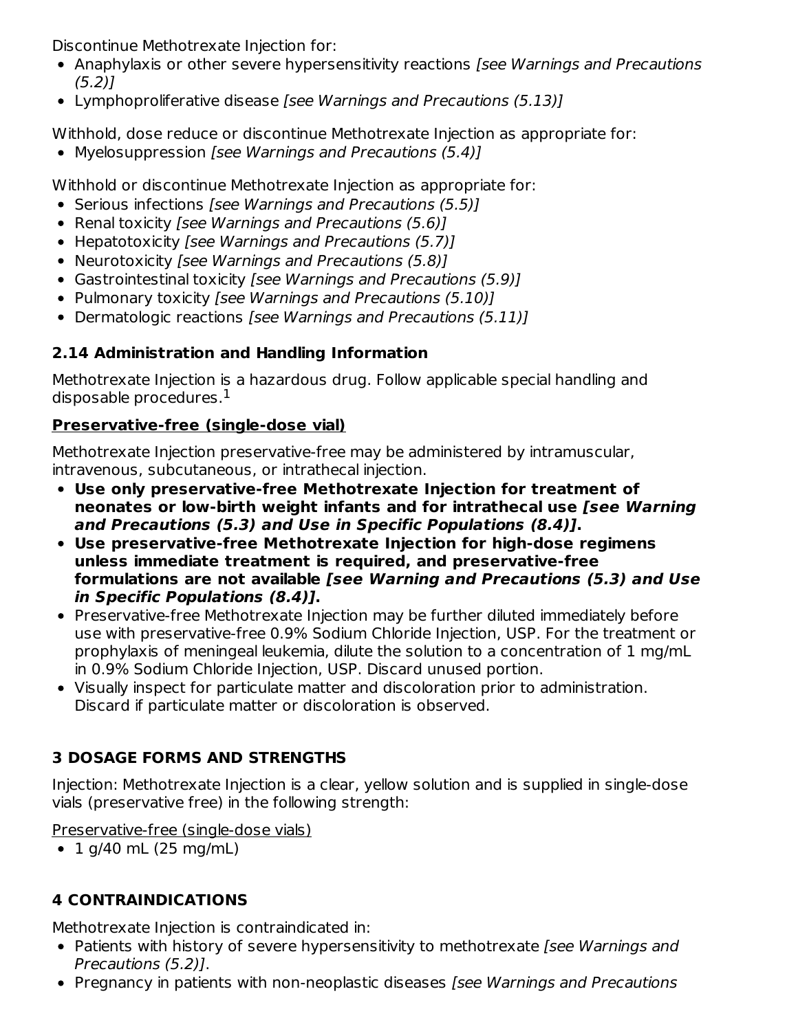Discontinue Methotrexate Injection for:

- Anaphylaxis or other severe hypersensitivity reactions *[see Warnings and Precautions* (5.2)]
- Lymphoproliferative disease [see Warnings and Precautions (5.13)]

Withhold, dose reduce or discontinue Methotrexate Injection as appropriate for:

• Myelosuppression [see Warnings and Precautions (5.4)]

Withhold or discontinue Methotrexate Injection as appropriate for:

- Serious infections [see Warnings and Precautions (5.5)]
- Renal toxicity [see Warnings and Precautions (5.6)]
- Hepatotoxicity [see Warnings and Precautions (5.7)]
- Neurotoxicity [see Warnings and Precautions (5.8)]
- Gastrointestinal toxicity [see Warnings and Precautions (5.9)]
- Pulmonary toxicity [see Warnings and Precautions (5.10)]
- Dermatologic reactions [see Warnings and Precautions (5.11)]

# **2.14 Administration and Handling Information**

Methotrexate Injection is a hazardous drug. Follow applicable special handling and disposable procedures. $^{\rm 1}$ 

# **Preservative-free (single-dose vial)**

Methotrexate Injection preservative-free may be administered by intramuscular, intravenous, subcutaneous, or intrathecal injection.

- **Use only preservative-free Methotrexate Injection for treatment of neonates or low-birth weight infants and for intrathecal use [see Warning and Precautions (5.3) and Use in Specific Populations (8.4)].**
- **Use preservative-free Methotrexate Injection for high-dose regimens unless immediate treatment is required, and preservative-free formulations are not available [see Warning and Precautions (5.3) and Use in Specific Populations (8.4)].**
- Preservative-free Methotrexate Injection may be further diluted immediately before use with preservative-free 0.9% Sodium Chloride Injection, USP. For the treatment or prophylaxis of meningeal leukemia, dilute the solution to a concentration of 1 mg/mL in 0.9% Sodium Chloride Injection, USP. Discard unused portion.
- Visually inspect for particulate matter and discoloration prior to administration. Discard if particulate matter or discoloration is observed.

# **3 DOSAGE FORMS AND STRENGTHS**

Injection: Methotrexate Injection is a clear, yellow solution and is supplied in single-dose vials (preservative free) in the following strength:

Preservative-free (single-dose vials)

 $\bullet$  1 g/40 mL (25 mg/mL)

# **4 CONTRAINDICATIONS**

Methotrexate Injection is contraindicated in:

- Patients with history of severe hypersensitivity to methotrexate [see Warnings and Precautions (5.2)].
- Pregnancy in patients with non-neoplastic diseases [see Warnings and Precautions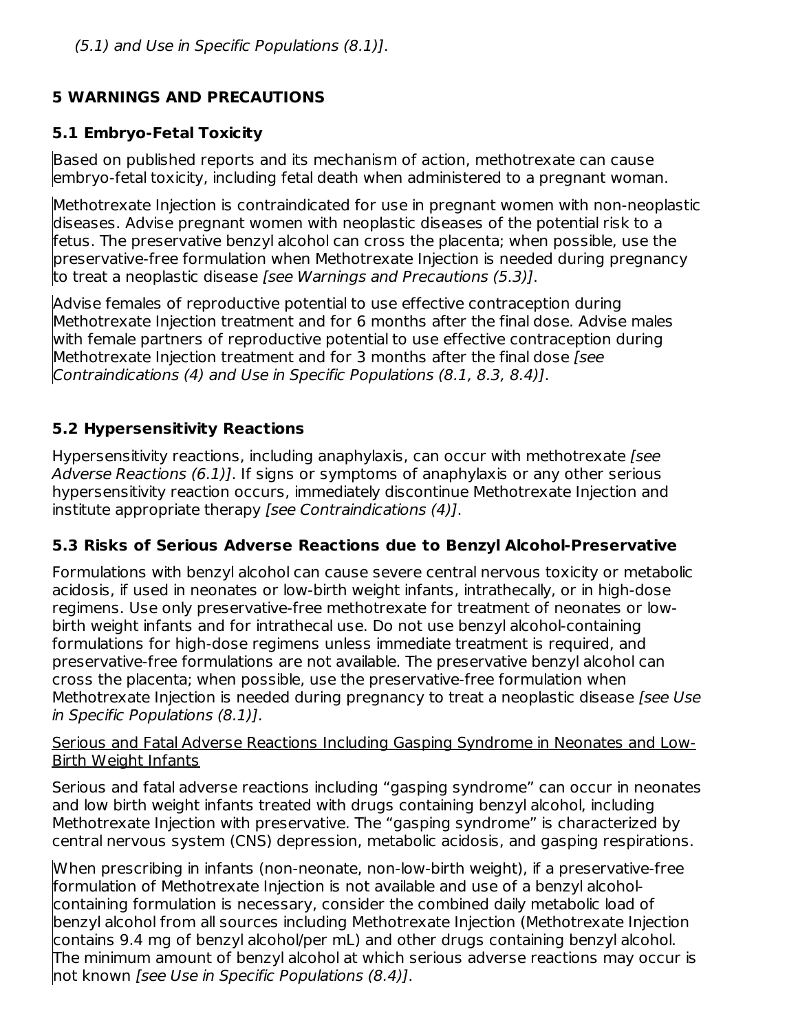## **5 WARNINGS AND PRECAUTIONS**

## **5.1 Embryo-Fetal Toxicity**

Based on published reports and its mechanism of action, methotrexate can cause embryo-fetal toxicity, including fetal death when administered to a pregnant woman.

Methotrexate Injection is contraindicated for use in pregnant women with non-neoplastic diseases. Advise pregnant women with neoplastic diseases of the potential risk to a fetus. The preservative benzyl alcohol can cross the placenta; when possible, use the preservative-free formulation when Methotrexate Injection is needed during pregnancy to treat a neoplastic disease [see Warnings and Precautions (5.3)].

Advise females of reproductive potential to use effective contraception during Methotrexate Injection treatment and for 6 months after the final dose. Advise males with female partners of reproductive potential to use effective contraception during Methotrexate Injection treatment and for 3 months after the final dose [see Contraindications (4) and Use in Specific Populations (8.1, 8.3, 8.4)].

## **5.2 Hypersensitivity Reactions**

Hypersensitivity reactions, including anaphylaxis, can occur with methotrexate [see] Adverse Reactions (6.1). If signs or symptoms of anaphylaxis or any other serious hypersensitivity reaction occurs, immediately discontinue Methotrexate Injection and institute appropriate therapy [see Contraindications (4)].

## **5.3 Risks of Serious Adverse Reactions due to Benzyl Alcohol-Preservative**

Formulations with benzyl alcohol can cause severe central nervous toxicity or metabolic acidosis, if used in neonates or low-birth weight infants, intrathecally, or in high-dose regimens. Use only preservative-free methotrexate for treatment of neonates or lowbirth weight infants and for intrathecal use. Do not use benzyl alcohol-containing formulations for high-dose regimens unless immediate treatment is required, and preservative-free formulations are not available. The preservative benzyl alcohol can cross the placenta; when possible, use the preservative-free formulation when Methotrexate Injection is needed during pregnancy to treat a neoplastic disease (see Use in Specific Populations (8.1)].

#### Serious and Fatal Adverse Reactions Including Gasping Syndrome in Neonates and Low-Birth Weight Infants

Serious and fatal adverse reactions including "gasping syndrome" can occur in neonates and low birth weight infants treated with drugs containing benzyl alcohol, including Methotrexate Injection with preservative. The "gasping syndrome" is characterized by central nervous system (CNS) depression, metabolic acidosis, and gasping respirations.

When prescribing in infants (non-neonate, non-low-birth weight), if a preservative-free formulation of Methotrexate Injection is not available and use of a benzyl alcoholcontaining formulation is necessary, consider the combined daily metabolic load of benzyl alcohol from all sources including Methotrexate Injection (Methotrexate Injection contains 9.4 mg of benzyl alcohol/per mL) and other drugs containing benzyl alcohol. The minimum amount of benzyl alcohol at which serious adverse reactions may occur is not known [see Use in Specific Populations (8.4)].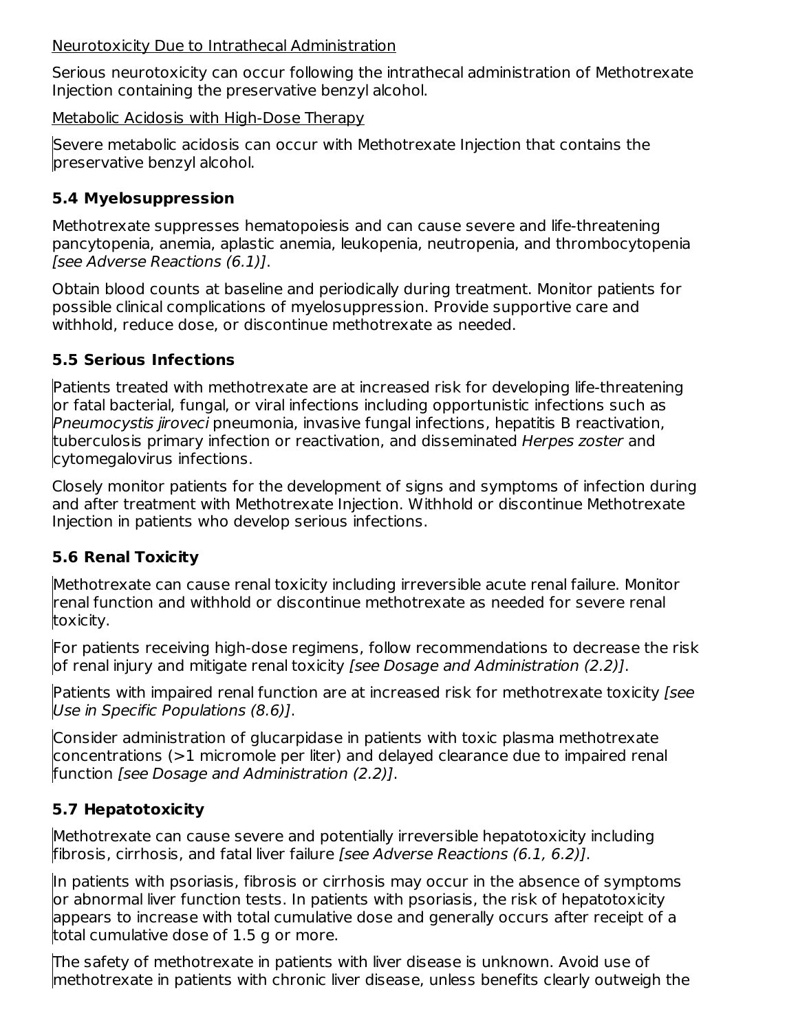Neurotoxicity Due to Intrathecal Administration

Serious neurotoxicity can occur following the intrathecal administration of Methotrexate Injection containing the preservative benzyl alcohol.

Metabolic Acidosis with High-Dose Therapy

Severe metabolic acidosis can occur with Methotrexate Injection that contains the preservative benzyl alcohol.

## **5.4 Myelosuppression**

Methotrexate suppresses hematopoiesis and can cause severe and life-threatening pancytopenia, anemia, aplastic anemia, leukopenia, neutropenia, and thrombocytopenia [see Adverse Reactions (6.1)].

Obtain blood counts at baseline and periodically during treatment. Monitor patients for possible clinical complications of myelosuppression. Provide supportive care and withhold, reduce dose, or discontinue methotrexate as needed.

## **5.5 Serious Infections**

Patients treated with methotrexate are at increased risk for developing life-threatening or fatal bacterial, fungal, or viral infections including opportunistic infections such as Pneumocystis jiroveci pneumonia, invasive fungal infections, hepatitis B reactivation, tuberculosis primary infection or reactivation, and disseminated Herpes zoster and cytomegalovirus infections.

Closely monitor patients for the development of signs and symptoms of infection during and after treatment with Methotrexate Injection. Withhold or discontinue Methotrexate Injection in patients who develop serious infections.

## **5.6 Renal Toxicity**

Methotrexate can cause renal toxicity including irreversible acute renal failure. Monitor renal function and withhold or discontinue methotrexate as needed for severe renal toxicity.

For patients receiving high-dose regimens, follow recommendations to decrease the risk of renal injury and mitigate renal toxicity [see Dosage and Administration (2.2)].

Patients with impaired renal function are at increased risk for methotrexate toxicity *[see*] Use in Specific Populations (8.6)].

Consider administration of glucarpidase in patients with toxic plasma methotrexate concentrations (>1 micromole per liter) and delayed clearance due to impaired renal function [see Dosage and Administration (2.2)].

## **5.7 Hepatotoxicity**

Methotrexate can cause severe and potentially irreversible hepatotoxicity including fibrosis, cirrhosis, and fatal liver failure [see Adverse Reactions (6.1, 6.2)].

In patients with psoriasis, fibrosis or cirrhosis may occur in the absence of symptoms or abnormal liver function tests. In patients with psoriasis, the risk of hepatotoxicity appears to increase with total cumulative dose and generally occurs after receipt of a total cumulative dose of 1.5 g or more.

The safety of methotrexate in patients with liver disease is unknown. Avoid use of methotrexate in patients with chronic liver disease, unless benefits clearly outweigh the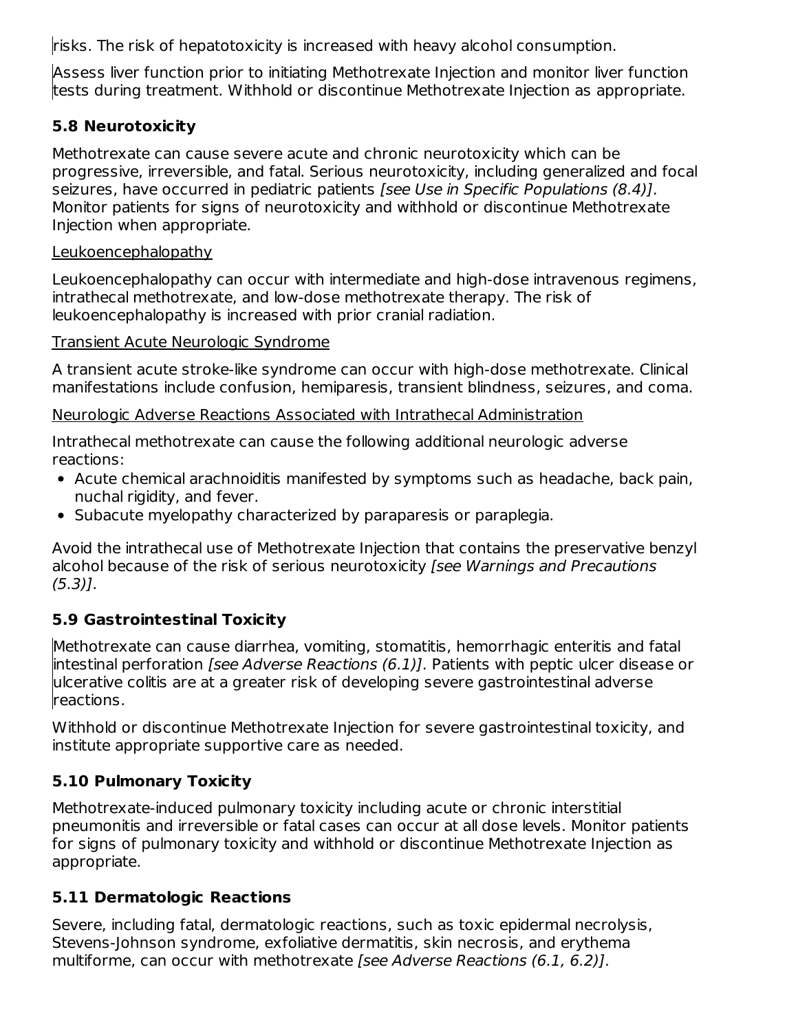risks. The risk of hepatotoxicity is increased with heavy alcohol consumption.

Assess liver function prior to initiating Methotrexate Injection and monitor liver function tests during treatment. Withhold or discontinue Methotrexate Injection as appropriate.

## **5.8 Neurotoxicity**

Methotrexate can cause severe acute and chronic neurotoxicity which can be progressive, irreversible, and fatal. Serious neurotoxicity, including generalized and focal seizures, have occurred in pediatric patients [see Use in Specific Populations (8.4)]. Monitor patients for signs of neurotoxicity and withhold or discontinue Methotrexate Injection when appropriate.

### Leukoencephalopathy

Leukoencephalopathy can occur with intermediate and high-dose intravenous regimens, intrathecal methotrexate, and low-dose methotrexate therapy. The risk of leukoencephalopathy is increased with prior cranial radiation.

### Transient Acute Neurologic Syndrome

A transient acute stroke-like syndrome can occur with high-dose methotrexate. Clinical manifestations include confusion, hemiparesis, transient blindness, seizures, and coma.

### Neurologic Adverse Reactions Associated with Intrathecal Administration

Intrathecal methotrexate can cause the following additional neurologic adverse reactions:

- Acute chemical arachnoiditis manifested by symptoms such as headache, back pain, nuchal rigidity, and fever.
- Subacute myelopathy characterized by paraparesis or paraplegia.

Avoid the intrathecal use of Methotrexate Injection that contains the preservative benzyl alcohol because of the risk of serious neurotoxicity [see Warnings and Precautions  $(5.3)$ ].

## **5.9 Gastrointestinal Toxicity**

Methotrexate can cause diarrhea, vomiting, stomatitis, hemorrhagic enteritis and fatal intestinal perforation [see Adverse Reactions (6.1)]. Patients with peptic ulcer disease or ulcerative colitis are at a greater risk of developing severe gastrointestinal adverse reactions.

Withhold or discontinue Methotrexate Injection for severe gastrointestinal toxicity, and institute appropriate supportive care as needed.

## **5.10 Pulmonary Toxicity**

Methotrexate-induced pulmonary toxicity including acute or chronic interstitial pneumonitis and irreversible or fatal cases can occur at all dose levels. Monitor patients for signs of pulmonary toxicity and withhold or discontinue Methotrexate Injection as appropriate.

## **5.11 Dermatologic Reactions**

Severe, including fatal, dermatologic reactions, such as toxic epidermal necrolysis, Stevens-Johnson syndrome, exfoliative dermatitis, skin necrosis, and erythema multiforme, can occur with methotrexate [see Adverse Reactions (6.1, 6.2)].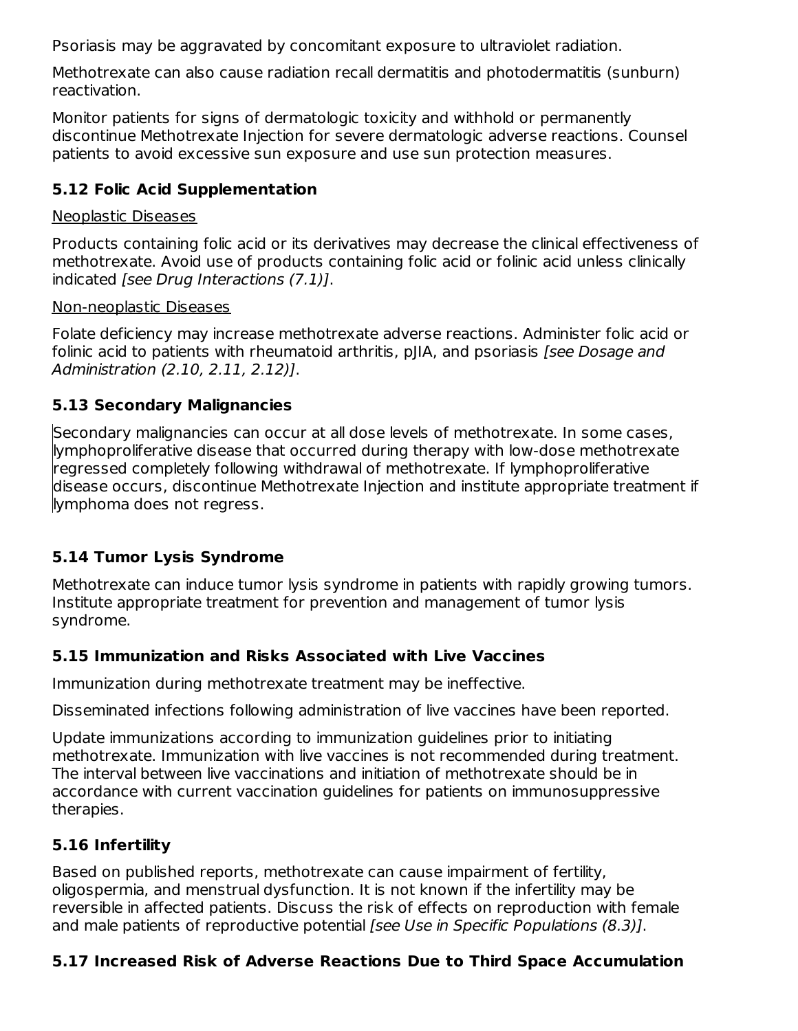Psoriasis may be aggravated by concomitant exposure to ultraviolet radiation.

Methotrexate can also cause radiation recall dermatitis and photodermatitis (sunburn) reactivation.

Monitor patients for signs of dermatologic toxicity and withhold or permanently discontinue Methotrexate Injection for severe dermatologic adverse reactions. Counsel patients to avoid excessive sun exposure and use sun protection measures.

## **5.12 Folic Acid Supplementation**

### Neoplastic Diseases

Products containing folic acid or its derivatives may decrease the clinical effectiveness of methotrexate. Avoid use of products containing folic acid or folinic acid unless clinically indicated [see Drug Interactions (7.1)].

#### Non-neoplastic Diseases

Folate deficiency may increase methotrexate adverse reactions. Administer folic acid or folinic acid to patients with rheumatoid arthritis, pJIA, and psoriasis [see Dosage and Administration (2.10, 2.11, 2.12)].

### **5.13 Secondary Malignancies**

Secondary malignancies can occur at all dose levels of methotrexate. In some cases, lymphoproliferative disease that occurred during therapy with low-dose methotrexate regressed completely following withdrawal of methotrexate. If lymphoproliferative disease occurs, discontinue Methotrexate Injection and institute appropriate treatment if lymphoma does not regress.

## **5.14 Tumor Lysis Syndrome**

Methotrexate can induce tumor lysis syndrome in patients with rapidly growing tumors. Institute appropriate treatment for prevention and management of tumor lysis syndrome.

## **5.15 Immunization and Risks Associated with Live Vaccines**

Immunization during methotrexate treatment may be ineffective.

Disseminated infections following administration of live vaccines have been reported.

Update immunizations according to immunization guidelines prior to initiating methotrexate. Immunization with live vaccines is not recommended during treatment. The interval between live vaccinations and initiation of methotrexate should be in accordance with current vaccination guidelines for patients on immunosuppressive therapies.

## **5.16 Infertility**

Based on published reports, methotrexate can cause impairment of fertility, oligospermia, and menstrual dysfunction. It is not known if the infertility may be reversible in affected patients. Discuss the risk of effects on reproduction with female and male patients of reproductive potential [see Use in Specific Populations (8.3)].

## **5.17 Increased Risk of Adverse Reactions Due to Third Space Accumulation**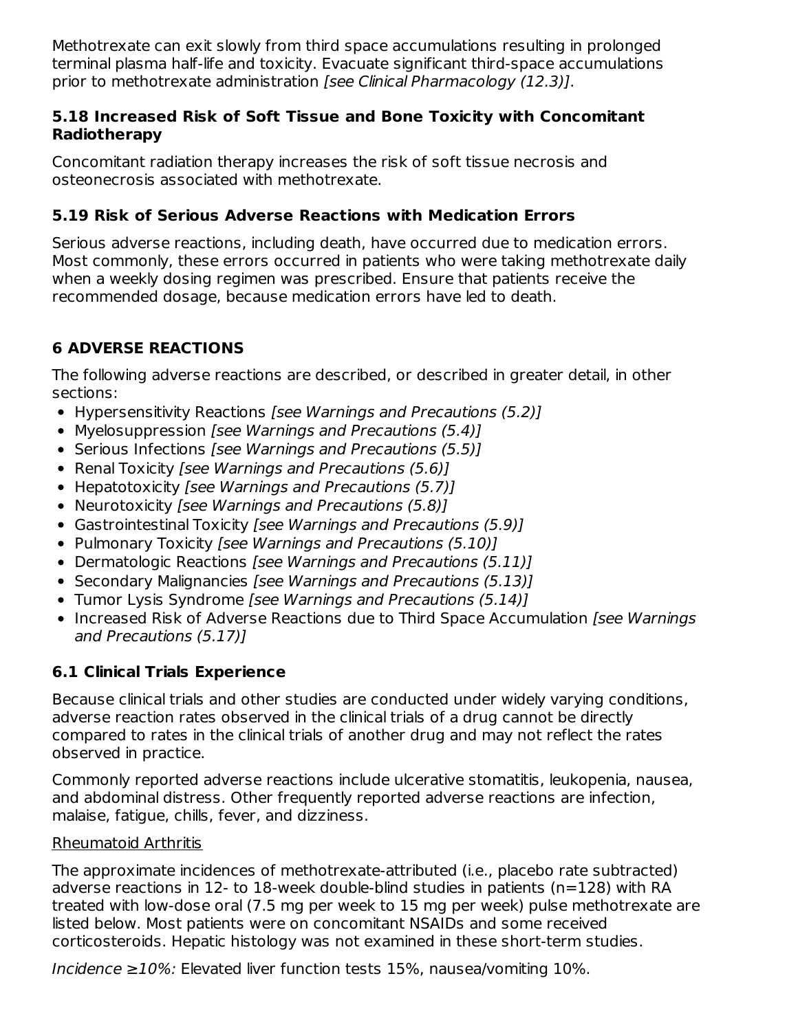Methotrexate can exit slowly from third space accumulations resulting in prolonged terminal plasma half-life and toxicity. Evacuate significant third-space accumulations prior to methotrexate administration [see Clinical Pharmacology (12.3)].

### **5.18 Increased Risk of Soft Tissue and Bone Toxicity with Concomitant Radiotherapy**

Concomitant radiation therapy increases the risk of soft tissue necrosis and osteonecrosis associated with methotrexate.

## **5.19 Risk of Serious Adverse Reactions with Medication Errors**

Serious adverse reactions, including death, have occurred due to medication errors. Most commonly, these errors occurred in patients who were taking methotrexate daily when a weekly dosing regimen was prescribed. Ensure that patients receive the recommended dosage, because medication errors have led to death.

# **6 ADVERSE REACTIONS**

The following adverse reactions are described, or described in greater detail, in other sections:

- Hypersensitivity Reactions [see Warnings and Precautions (5.2)]
- Myelosuppression [see Warnings and Precautions (5.4)]
- Serious Infections [see Warnings and Precautions (5.5)]
- Renal Toxicity [see Warnings and Precautions (5.6)]
- Hepatotoxicity [see Warnings and Precautions (5.7)]
- Neurotoxicity [see Warnings and Precautions (5.8)]
- Gastrointestinal Toxicity [see Warnings and Precautions (5.9)]
- Pulmonary Toxicity [see Warnings and Precautions (5.10)]
- Dermatologic Reactions [see Warnings and Precautions (5.11)]
- Secondary Malignancies [see Warnings and Precautions (5.13)]
- Tumor Lysis Syndrome [see Warnings and Precautions (5.14)]
- Increased Risk of Adverse Reactions due to Third Space Accumulation [see Warnings] and Precautions (5.17)]

## **6.1 Clinical Trials Experience**

Because clinical trials and other studies are conducted under widely varying conditions, adverse reaction rates observed in the clinical trials of a drug cannot be directly compared to rates in the clinical trials of another drug and may not reflect the rates observed in practice.

Commonly reported adverse reactions include ulcerative stomatitis, leukopenia, nausea, and abdominal distress. Other frequently reported adverse reactions are infection, malaise, fatigue, chills, fever, and dizziness.

### Rheumatoid Arthritis

The approximate incidences of methotrexate-attributed (i.e., placebo rate subtracted) adverse reactions in 12- to 18-week double-blind studies in patients (n=128) with RA treated with low-dose oral (7.5 mg per week to 15 mg per week) pulse methotrexate are listed below. Most patients were on concomitant NSAIDs and some received corticosteroids. Hepatic histology was not examined in these short-term studies.

Incidence ≥10%: Elevated liver function tests 15%, nausea/vomiting 10%.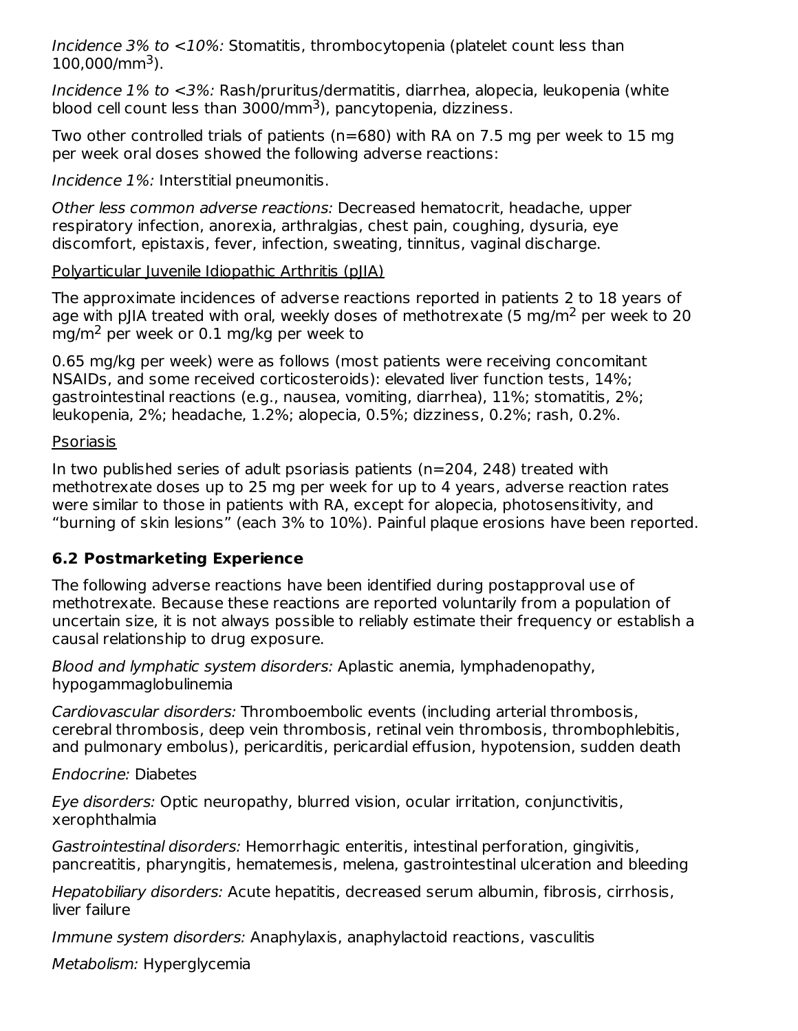Incidence 3% to <10%: Stomatitis, thrombocytopenia (platelet count less than  $100,000$ /mm<sup>3</sup>).

Incidence 1% to <3%: Rash/pruritus/dermatitis, diarrhea, alopecia, leukopenia (white blood cell count less than  $3000$ /mm<sup>3</sup>), pancytopenia, dizziness.

Two other controlled trials of patients (n=680) with RA on 7.5 mg per week to 15 mg per week oral doses showed the following adverse reactions:

Incidence 1%: Interstitial pneumonitis.

Other less common adverse reactions: Decreased hematocrit, headache, upper respiratory infection, anorexia, arthralgias, chest pain, coughing, dysuria, eye discomfort, epistaxis, fever, infection, sweating, tinnitus, vaginal discharge.

Polyarticular Juvenile Idiopathic Arthritis (pJIA)

The approximate incidences of adverse reactions reported in patients 2 to 18 years of age with pJIA treated with oral, weekly doses of methotrexate (5 mg/m<sup>2</sup> per week to 20 mg/m<sup>2</sup> per week or 0.1 mg/kg per week to

0.65 mg/kg per week) were as follows (most patients were receiving concomitant NSAIDs, and some received corticosteroids): elevated liver function tests, 14%; gastrointestinal reactions (e.g., nausea, vomiting, diarrhea), 11%; stomatitis, 2%; leukopenia, 2%; headache, 1.2%; alopecia, 0.5%; dizziness, 0.2%; rash, 0.2%.

Psoriasis

In two published series of adult psoriasis patients (n=204, 248) treated with methotrexate doses up to 25 mg per week for up to 4 years, adverse reaction rates were similar to those in patients with RA, except for alopecia, photosensitivity, and "burning of skin lesions" (each 3% to 10%). Painful plaque erosions have been reported.

## **6.2 Postmarketing Experience**

The following adverse reactions have been identified during postapproval use of methotrexate. Because these reactions are reported voluntarily from a population of uncertain size, it is not always possible to reliably estimate their frequency or establish a causal relationship to drug exposure.

Blood and lymphatic system disorders: Aplastic anemia, lymphadenopathy, hypogammaglobulinemia

Cardiovascular disorders: Thromboembolic events (including arterial thrombosis, cerebral thrombosis, deep vein thrombosis, retinal vein thrombosis, thrombophlebitis, and pulmonary embolus), pericarditis, pericardial effusion, hypotension, sudden death

Endocrine: Diabetes

Eye disorders: Optic neuropathy, blurred vision, ocular irritation, conjunctivitis, xerophthalmia

Gastrointestinal disorders: Hemorrhagic enteritis, intestinal perforation, gingivitis, pancreatitis, pharyngitis, hematemesis, melena, gastrointestinal ulceration and bleeding

Hepatobiliary disorders: Acute hepatitis, decreased serum albumin, fibrosis, cirrhosis, liver failure

Immune system disorders: Anaphylaxis, anaphylactoid reactions, vasculitis

Metabolism: Hyperglycemia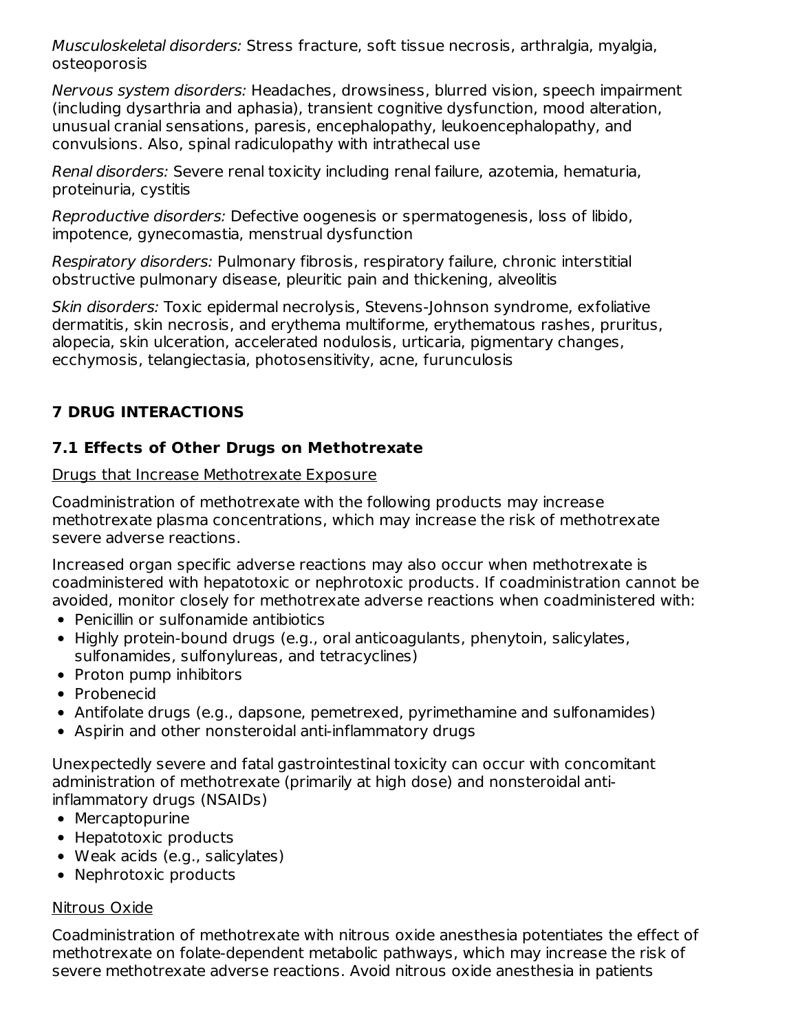Musculoskeletal disorders: Stress fracture, soft tissue necrosis, arthralgia, myalgia, osteoporosis

Nervous system disorders: Headaches, drowsiness, blurred vision, speech impairment (including dysarthria and aphasia), transient cognitive dysfunction, mood alteration, unusual cranial sensations, paresis, encephalopathy, leukoencephalopathy, and convulsions. Also, spinal radiculopathy with intrathecal use

Renal disorders: Severe renal toxicity including renal failure, azotemia, hematuria, proteinuria, cystitis

Reproductive disorders: Defective oogenesis or spermatogenesis, loss of libido, impotence, gynecomastia, menstrual dysfunction

Respiratory disorders: Pulmonary fibrosis, respiratory failure, chronic interstitial obstructive pulmonary disease, pleuritic pain and thickening, alveolitis

Skin disorders: Toxic epidermal necrolysis, Stevens-Johnson syndrome, exfoliative dermatitis, skin necrosis, and erythema multiforme, erythematous rashes, pruritus, alopecia, skin ulceration, accelerated nodulosis, urticaria, pigmentary changes, ecchymosis, telangiectasia, photosensitivity, acne, furunculosis

## **7 DRUG INTERACTIONS**

## **7.1 Effects of Other Drugs on Methotrexate**

Drugs that Increase Methotrexate Exposure

Coadministration of methotrexate with the following products may increase methotrexate plasma concentrations, which may increase the risk of methotrexate severe adverse reactions.

Increased organ specific adverse reactions may also occur when methotrexate is coadministered with hepatotoxic or nephrotoxic products. If coadministration cannot be avoided, monitor closely for methotrexate adverse reactions when coadministered with:

- Penicillin or sulfonamide antibiotics
- Highly protein-bound drugs (e.g., oral anticoagulants, phenytoin, salicylates, sulfonamides, sulfonylureas, and tetracyclines)
- Proton pump inhibitors
- Probenecid
- Antifolate drugs (e.g., dapsone, pemetrexed, pyrimethamine and sulfonamides)
- Aspirin and other nonsteroidal anti-inflammatory drugs

Unexpectedly severe and fatal gastrointestinal toxicity can occur with concomitant administration of methotrexate (primarily at high dose) and nonsteroidal antiinflammatory drugs (NSAIDs)

- Mercaptopurine
- Hepatotoxic products
- Weak acids (e.g., salicylates)
- Nephrotoxic products

## Nitrous Oxide

Coadministration of methotrexate with nitrous oxide anesthesia potentiates the effect of methotrexate on folate-dependent metabolic pathways, which may increase the risk of severe methotrexate adverse reactions. Avoid nitrous oxide anesthesia in patients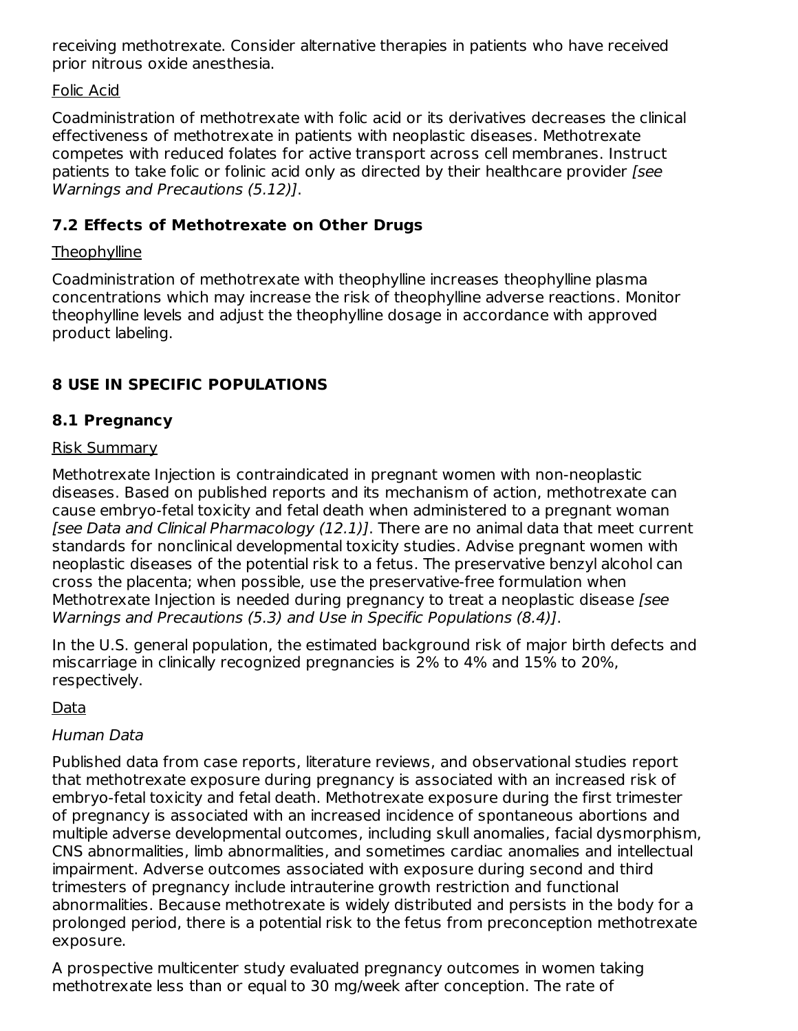receiving methotrexate. Consider alternative therapies in patients who have received prior nitrous oxide anesthesia.

### Folic Acid

Coadministration of methotrexate with folic acid or its derivatives decreases the clinical effectiveness of methotrexate in patients with neoplastic diseases. Methotrexate competes with reduced folates for active transport across cell membranes. Instruct patients to take folic or folinic acid only as directed by their healthcare provider [see Warnings and Precautions (5.12)].

## **7.2 Effects of Methotrexate on Other Drugs**

### **Theophylline**

Coadministration of methotrexate with theophylline increases theophylline plasma concentrations which may increase the risk of theophylline adverse reactions. Monitor theophylline levels and adjust the theophylline dosage in accordance with approved product labeling.

## **8 USE IN SPECIFIC POPULATIONS**

## **8.1 Pregnancy**

#### Risk Summary

Methotrexate Injection is contraindicated in pregnant women with non-neoplastic diseases. Based on published reports and its mechanism of action, methotrexate can cause embryo-fetal toxicity and fetal death when administered to a pregnant woman [see Data and Clinical Pharmacology (12.1)]. There are no animal data that meet current standards for nonclinical developmental toxicity studies. Advise pregnant women with neoplastic diseases of the potential risk to a fetus. The preservative benzyl alcohol can cross the placenta; when possible, use the preservative-free formulation when Methotrexate Injection is needed during pregnancy to treat a neoplastic disease [see] Warnings and Precautions (5.3) and Use in Specific Populations (8.4)].

In the U.S. general population, the estimated background risk of major birth defects and miscarriage in clinically recognized pregnancies is 2% to 4% and 15% to 20%, respectively.

Data

### Human Data

Published data from case reports, literature reviews, and observational studies report that methotrexate exposure during pregnancy is associated with an increased risk of embryo-fetal toxicity and fetal death. Methotrexate exposure during the first trimester of pregnancy is associated with an increased incidence of spontaneous abortions and multiple adverse developmental outcomes, including skull anomalies, facial dysmorphism, CNS abnormalities, limb abnormalities, and sometimes cardiac anomalies and intellectual impairment. Adverse outcomes associated with exposure during second and third trimesters of pregnancy include intrauterine growth restriction and functional abnormalities. Because methotrexate is widely distributed and persists in the body for a prolonged period, there is a potential risk to the fetus from preconception methotrexate exposure.

A prospective multicenter study evaluated pregnancy outcomes in women taking methotrexate less than or equal to 30 mg/week after conception. The rate of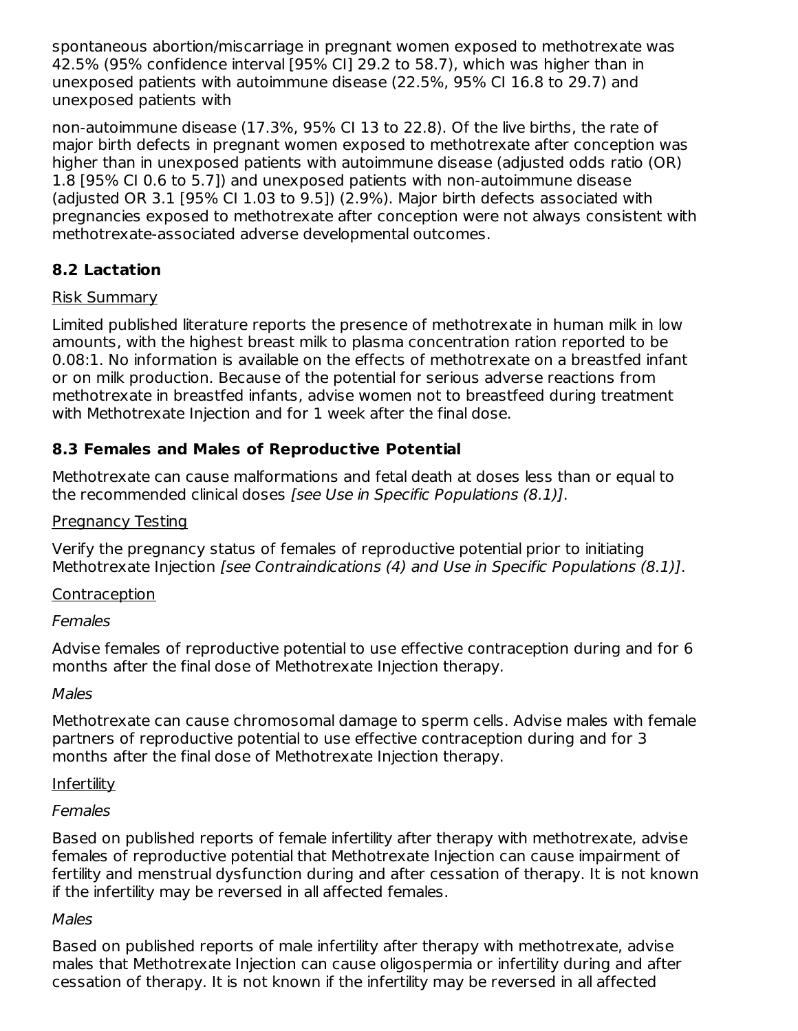spontaneous abortion/miscarriage in pregnant women exposed to methotrexate was 42.5% (95% confidence interval [95% CI] 29.2 to 58.7), which was higher than in unexposed patients with autoimmune disease (22.5%, 95% CI 16.8 to 29.7) and unexposed patients with

non-autoimmune disease (17.3%, 95% CI 13 to 22.8). Of the live births, the rate of major birth defects in pregnant women exposed to methotrexate after conception was higher than in unexposed patients with autoimmune disease (adjusted odds ratio (OR) 1.8 [95% CI 0.6 to 5.7]) and unexposed patients with non-autoimmune disease (adjusted OR 3.1 [95% CI 1.03 to 9.5]) (2.9%). Major birth defects associated with pregnancies exposed to methotrexate after conception were not always consistent with methotrexate-associated adverse developmental outcomes.

## **8.2 Lactation**

### Risk Summary

Limited published literature reports the presence of methotrexate in human milk in low amounts, with the highest breast milk to plasma concentration ration reported to be 0.08:1. No information is available on the effects of methotrexate on a breastfed infant or on milk production. Because of the potential for serious adverse reactions from methotrexate in breastfed infants, advise women not to breastfeed during treatment with Methotrexate Injection and for 1 week after the final dose.

## **8.3 Females and Males of Reproductive Potential**

Methotrexate can cause malformations and fetal death at doses less than or equal to the recommended clinical doses [see Use in Specific Populations (8.1)].

### Pregnancy Testing

Verify the pregnancy status of females of reproductive potential prior to initiating Methotrexate Injection [see Contraindications (4) and Use in Specific Populations (8.1)].

## **Contraception**

### Females

Advise females of reproductive potential to use effective contraception during and for 6 months after the final dose of Methotrexate Injection therapy.

### **Males**

Methotrexate can cause chromosomal damage to sperm cells. Advise males with female partners of reproductive potential to use effective contraception during and for 3 months after the final dose of Methotrexate Injection therapy.

### Infertility

### **Females**

Based on published reports of female infertility after therapy with methotrexate, advise females of reproductive potential that Methotrexate Injection can cause impairment of fertility and menstrual dysfunction during and after cessation of therapy. It is not known if the infertility may be reversed in all affected females.

### **Males**

Based on published reports of male infertility after therapy with methotrexate, advise males that Methotrexate Injection can cause oligospermia or infertility during and after cessation of therapy. It is not known if the infertility may be reversed in all affected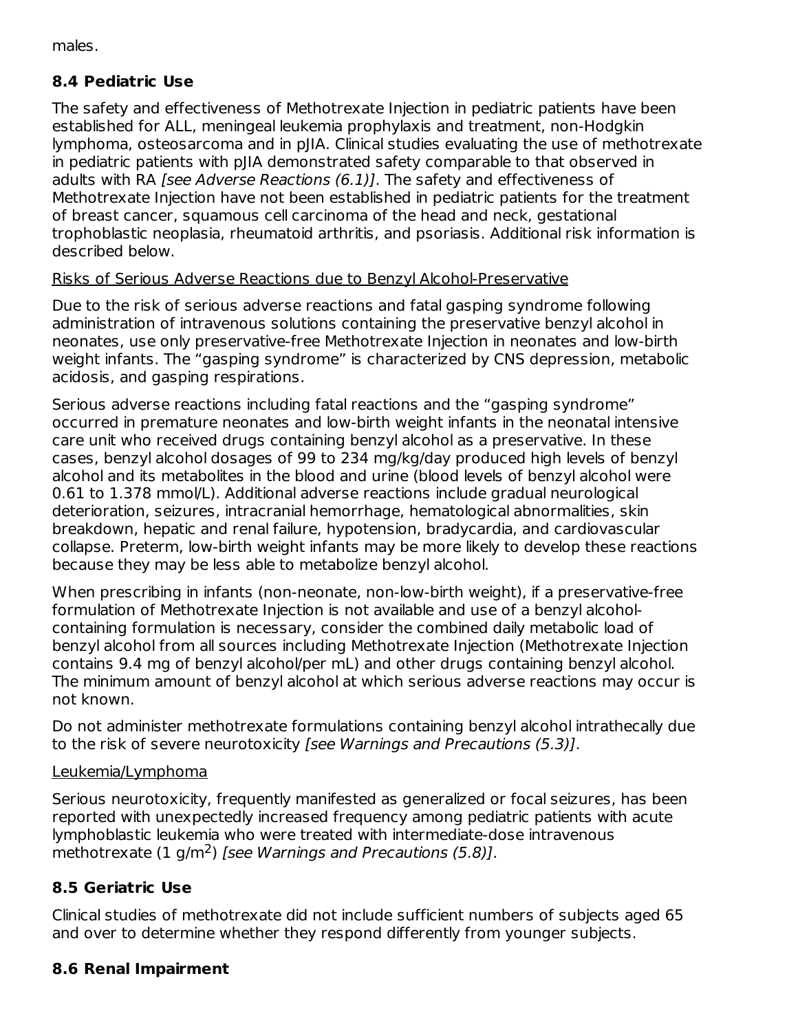males.

## **8.4 Pediatric Use**

The safety and effectiveness of Methotrexate Injection in pediatric patients have been established for ALL, meningeal leukemia prophylaxis and treatment, non-Hodgkin lymphoma, osteosarcoma and in pJIA. Clinical studies evaluating the use of methotrexate in pediatric patients with pJIA demonstrated safety comparable to that observed in adults with RA *[see Adverse Reactions (6.1)]*. The safety and effectiveness of Methotrexate Injection have not been established in pediatric patients for the treatment of breast cancer, squamous cell carcinoma of the head and neck, gestational trophoblastic neoplasia, rheumatoid arthritis, and psoriasis. Additional risk information is described below.

### Risks of Serious Adverse Reactions due to Benzyl Alcohol-Preservative

Due to the risk of serious adverse reactions and fatal gasping syndrome following administration of intravenous solutions containing the preservative benzyl alcohol in neonates, use only preservative-free Methotrexate Injection in neonates and low-birth weight infants. The "gasping syndrome" is characterized by CNS depression, metabolic acidosis, and gasping respirations.

Serious adverse reactions including fatal reactions and the "gasping syndrome" occurred in premature neonates and low-birth weight infants in the neonatal intensive care unit who received drugs containing benzyl alcohol as a preservative. In these cases, benzyl alcohol dosages of 99 to 234 mg/kg/day produced high levels of benzyl alcohol and its metabolites in the blood and urine (blood levels of benzyl alcohol were 0.61 to 1.378 mmol/L). Additional adverse reactions include gradual neurological deterioration, seizures, intracranial hemorrhage, hematological abnormalities, skin breakdown, hepatic and renal failure, hypotension, bradycardia, and cardiovascular collapse. Preterm, low-birth weight infants may be more likely to develop these reactions because they may be less able to metabolize benzyl alcohol.

When prescribing in infants (non-neonate, non-low-birth weight), if a preservative-free formulation of Methotrexate Injection is not available and use of a benzyl alcoholcontaining formulation is necessary, consider the combined daily metabolic load of benzyl alcohol from all sources including Methotrexate Injection (Methotrexate Injection contains 9.4 mg of benzyl alcohol/per mL) and other drugs containing benzyl alcohol. The minimum amount of benzyl alcohol at which serious adverse reactions may occur is not known.

Do not administer methotrexate formulations containing benzyl alcohol intrathecally due to the risk of severe neurotoxicity [see Warnings and Precautions (5.3)].

### Leukemia/Lymphoma

Serious neurotoxicity, frequently manifested as generalized or focal seizures, has been reported with unexpectedly increased frequency among pediatric patients with acute lymphoblastic leukemia who were treated with intermediate-dose intravenous methotrexate  $(1 \text{ g/m}^2)$  [see Warnings and Precautions (5.8)].

## **8.5 Geriatric Use**

Clinical studies of methotrexate did not include sufficient numbers of subjects aged 65 and over to determine whether they respond differently from younger subjects.

## **8.6 Renal Impairment**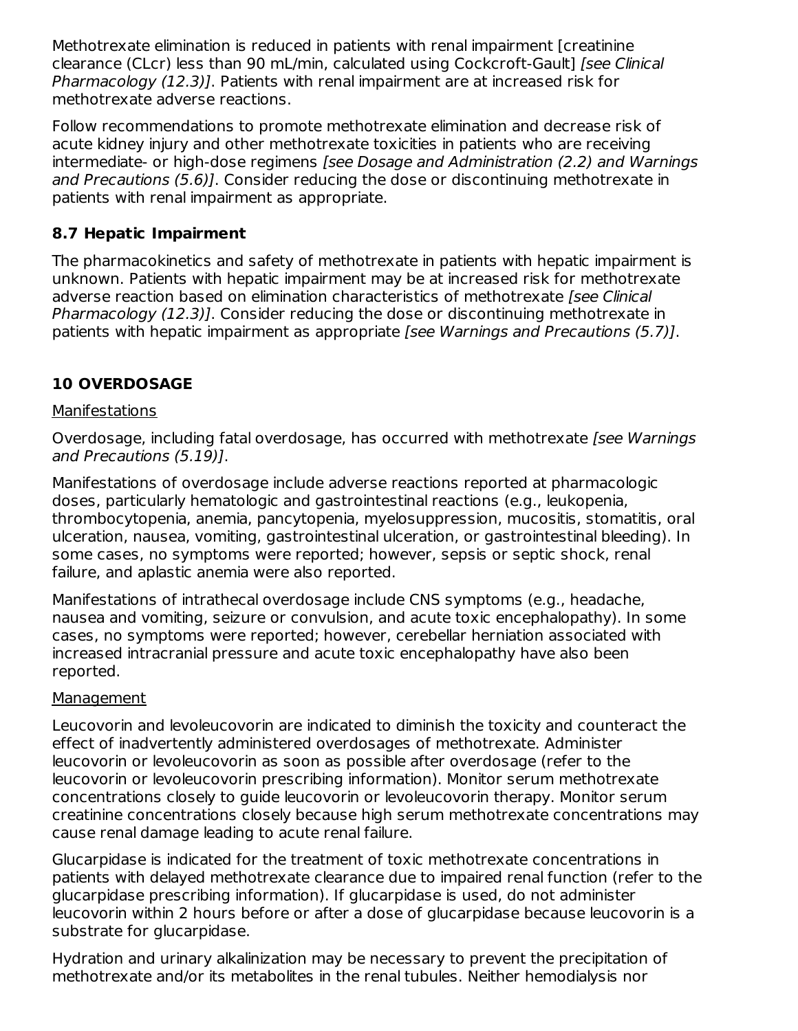Methotrexate elimination is reduced in patients with renal impairment [creatinine clearance (CLcr) less than 90 mL/min, calculated using Cockcroft-Gault] [see Clinical Pharmacology (12.3)]. Patients with renal impairment are at increased risk for methotrexate adverse reactions.

Follow recommendations to promote methotrexate elimination and decrease risk of acute kidney injury and other methotrexate toxicities in patients who are receiving intermediate- or high-dose regimens [see Dosage and Administration (2.2) and Warnings and Precautions (5.6)]. Consider reducing the dose or discontinuing methotrexate in patients with renal impairment as appropriate.

## **8.7 Hepatic Impairment**

The pharmacokinetics and safety of methotrexate in patients with hepatic impairment is unknown. Patients with hepatic impairment may be at increased risk for methotrexate adverse reaction based on elimination characteristics of methotrexate [see Clinical] Pharmacology (12.3)]. Consider reducing the dose or discontinuing methotrexate in patients with hepatic impairment as appropriate [see Warnings and Precautions (5.7)].

## **10 OVERDOSAGE**

### **Manifestations**

Overdosage, including fatal overdosage, has occurred with methotrexate [see Warnings and Precautions (5.19)].

Manifestations of overdosage include adverse reactions reported at pharmacologic doses, particularly hematologic and gastrointestinal reactions (e.g., leukopenia, thrombocytopenia, anemia, pancytopenia, myelosuppression, mucositis, stomatitis, oral ulceration, nausea, vomiting, gastrointestinal ulceration, or gastrointestinal bleeding). In some cases, no symptoms were reported; however, sepsis or septic shock, renal failure, and aplastic anemia were also reported.

Manifestations of intrathecal overdosage include CNS symptoms (e.g., headache, nausea and vomiting, seizure or convulsion, and acute toxic encephalopathy). In some cases, no symptoms were reported; however, cerebellar herniation associated with increased intracranial pressure and acute toxic encephalopathy have also been reported.

### Management

Leucovorin and levoleucovorin are indicated to diminish the toxicity and counteract the effect of inadvertently administered overdosages of methotrexate. Administer leucovorin or levoleucovorin as soon as possible after overdosage (refer to the leucovorin or levoleucovorin prescribing information). Monitor serum methotrexate concentrations closely to guide leucovorin or levoleucovorin therapy. Monitor serum creatinine concentrations closely because high serum methotrexate concentrations may cause renal damage leading to acute renal failure.

Glucarpidase is indicated for the treatment of toxic methotrexate concentrations in patients with delayed methotrexate clearance due to impaired renal function (refer to the glucarpidase prescribing information). If glucarpidase is used, do not administer leucovorin within 2 hours before or after a dose of glucarpidase because leucovorin is a substrate for glucarpidase.

Hydration and urinary alkalinization may be necessary to prevent the precipitation of methotrexate and/or its metabolites in the renal tubules. Neither hemodialysis nor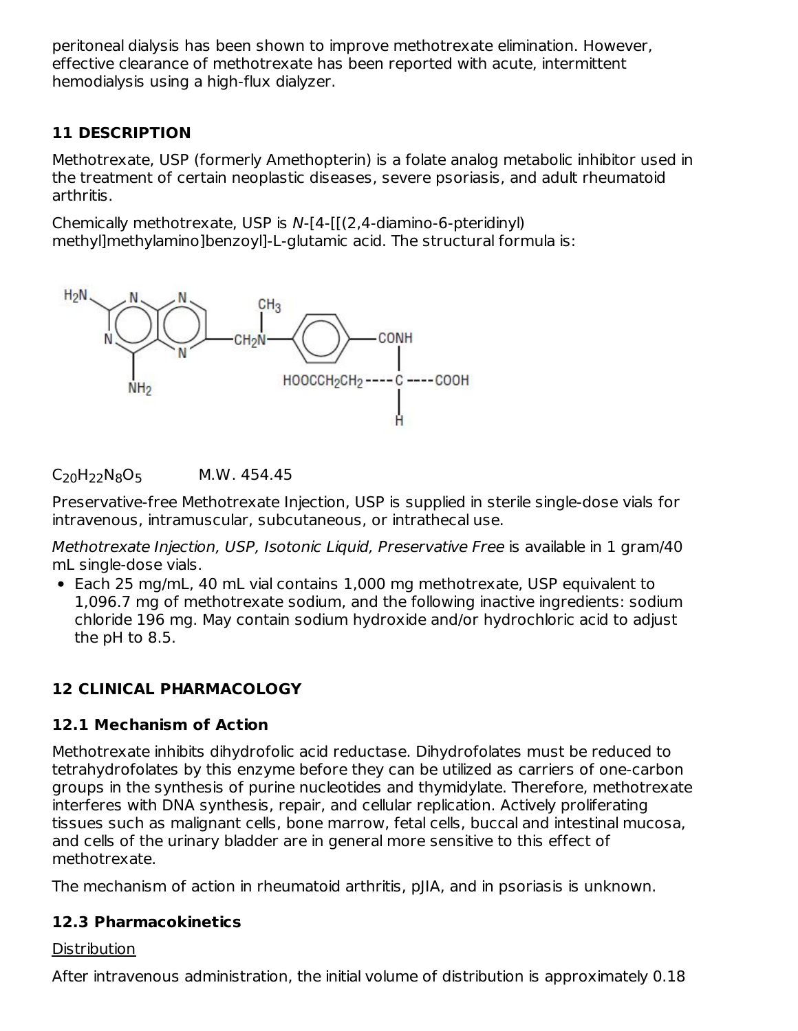peritoneal dialysis has been shown to improve methotrexate elimination. However, effective clearance of methotrexate has been reported with acute, intermittent hemodialysis using a high-flux dialyzer.

## **11 DESCRIPTION**

Methotrexate, USP (formerly Amethopterin) is a folate analog metabolic inhibitor used in the treatment of certain neoplastic diseases, severe psoriasis, and adult rheumatoid arthritis.

Chemically methotrexate, USP is N-[4-[[(2,4-diamino-6-pteridinyl) methyl]methylamino]benzoyl]-L-glutamic acid. The structural formula is:



## $C_{20}H_{22}N_8O_5$  M.W. 454.45

Preservative-free Methotrexate Injection, USP is supplied in sterile single-dose vials for intravenous, intramuscular, subcutaneous, or intrathecal use.

Methotrexate Injection, USP, Isotonic Liquid, Preservative Free is available in 1 gram/40 mL single-dose vials.

• Each 25 mg/mL, 40 mL vial contains 1,000 mg methotrexate, USP equivalent to 1,096.7 mg of methotrexate sodium, and the following inactive ingredients: sodium chloride 196 mg. May contain sodium hydroxide and/or hydrochloric acid to adjust the pH to 8.5.

## **12 CLINICAL PHARMACOLOGY**

## **12.1 Mechanism of Action**

Methotrexate inhibits dihydrofolic acid reductase. Dihydrofolates must be reduced to tetrahydrofolates by this enzyme before they can be utilized as carriers of one-carbon groups in the synthesis of purine nucleotides and thymidylate. Therefore, methotrexate interferes with DNA synthesis, repair, and cellular replication. Actively proliferating tissues such as malignant cells, bone marrow, fetal cells, buccal and intestinal mucosa, and cells of the urinary bladder are in general more sensitive to this effect of methotrexate.

The mechanism of action in rheumatoid arthritis, pJIA, and in psoriasis is unknown.

## **12.3 Pharmacokinetics**

## **Distribution**

After intravenous administration, the initial volume of distribution is approximately 0.18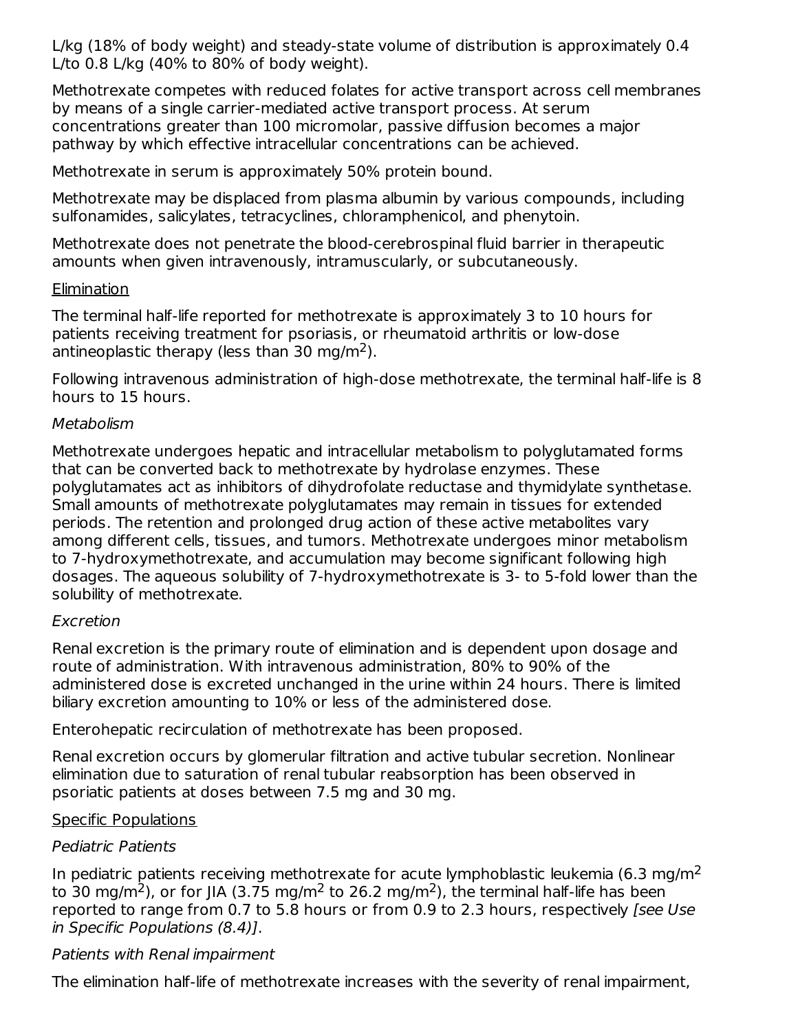L/kg (18% of body weight) and steady-state volume of distribution is approximately 0.4 L/to 0.8 L/kg (40% to 80% of body weight).

Methotrexate competes with reduced folates for active transport across cell membranes by means of a single carrier-mediated active transport process. At serum concentrations greater than 100 micromolar, passive diffusion becomes a major pathway by which effective intracellular concentrations can be achieved.

Methotrexate in serum is approximately 50% protein bound.

Methotrexate may be displaced from plasma albumin by various compounds, including sulfonamides, salicylates, tetracyclines, chloramphenicol, and phenytoin.

Methotrexate does not penetrate the blood-cerebrospinal fluid barrier in therapeutic amounts when given intravenously, intramuscularly, or subcutaneously.

### **Elimination**

The terminal half-life reported for methotrexate is approximately 3 to 10 hours for patients receiving treatment for psoriasis, or rheumatoid arthritis or low-dose antineoplastic therapy (less than 30 mg/m<sup>2</sup>).

Following intravenous administration of high-dose methotrexate, the terminal half-life is 8 hours to 15 hours.

### Metabolism

Methotrexate undergoes hepatic and intracellular metabolism to polyglutamated forms that can be converted back to methotrexate by hydrolase enzymes. These polyglutamates act as inhibitors of dihydrofolate reductase and thymidylate synthetase. Small amounts of methotrexate polyglutamates may remain in tissues for extended periods. The retention and prolonged drug action of these active metabolites vary among different cells, tissues, and tumors. Methotrexate undergoes minor metabolism to 7-hydroxymethotrexate, and accumulation may become significant following high dosages. The aqueous solubility of 7-hydroxymethotrexate is 3- to 5-fold lower than the solubility of methotrexate.

### Excretion

Renal excretion is the primary route of elimination and is dependent upon dosage and route of administration. With intravenous administration, 80% to 90% of the administered dose is excreted unchanged in the urine within 24 hours. There is limited biliary excretion amounting to 10% or less of the administered dose.

Enterohepatic recirculation of methotrexate has been proposed.

Renal excretion occurs by glomerular filtration and active tubular secretion. Nonlinear elimination due to saturation of renal tubular reabsorption has been observed in psoriatic patients at doses between 7.5 mg and 30 mg.

### Specific Populations

## Pediatric Patients

In pediatric patients receiving methotrexate for acute lymphoblastic leukemia (6.3 mg/m<sup>2</sup> to 30 mg/m<sup>2</sup>), or for JIA (3.75 mg/m<sup>2</sup> to 26.2 mg/m<sup>2</sup>), the terminal half-life has been reported to range from 0.7 to 5.8 hours or from 0.9 to 2.3 hours, respectively [see Use in Specific Populations (8.4)].

### Patients with Renal impairment

The elimination half-life of methotrexate increases with the severity of renal impairment,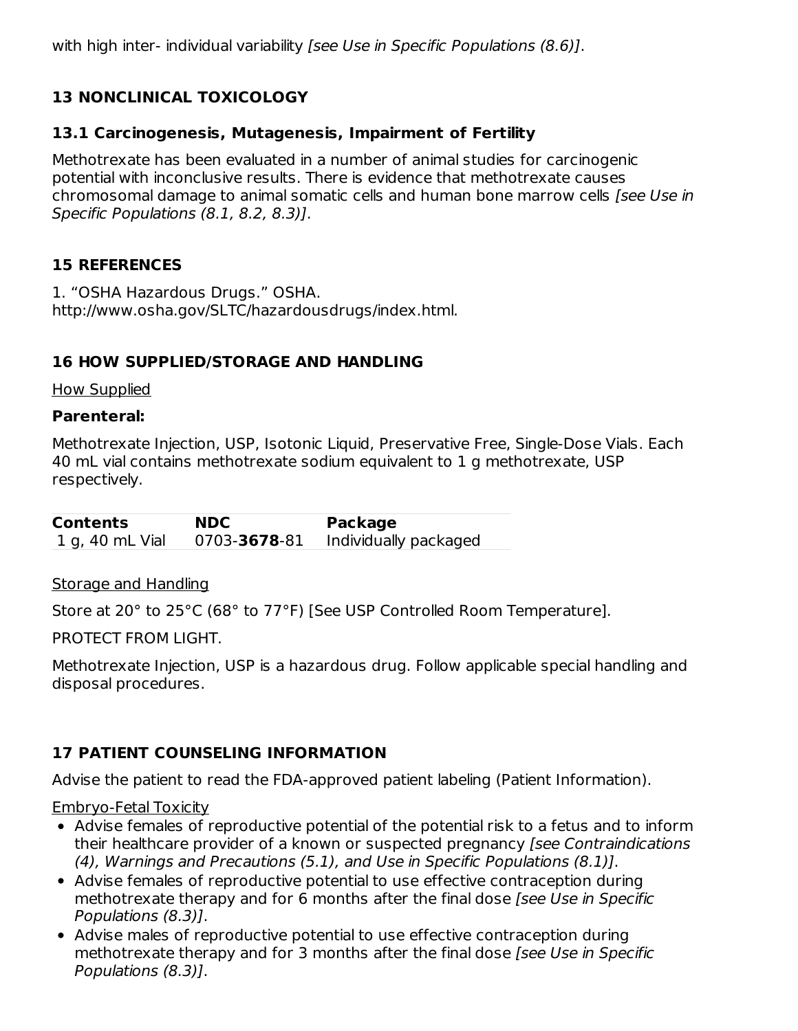with high inter- individual variability *[see Use in Specific Populations (8.6)*].

## **13 NONCLINICAL TOXICOLOGY**

### **13.1 Carcinogenesis, Mutagenesis, Impairment of Fertility**

Methotrexate has been evaluated in a number of animal studies for carcinogenic potential with inconclusive results. There is evidence that methotrexate causes chromosomal damage to animal somatic cells and human bone marrow cells [see Use in Specific Populations (8.1, 8.2, 8.3)].

### **15 REFERENCES**

1. "OSHA Hazardous Drugs." OSHA. http://www.osha.gov/SLTC/hazardousdrugs/index.html.

### **16 HOW SUPPLIED/STORAGE AND HANDLING**

How Supplied

#### **Parenteral:**

Methotrexate Injection, USP, Isotonic Liquid, Preservative Free, Single-Dose Vials. Each 40 mL vial contains methotrexate sodium equivalent to 1 g methotrexate, USP respectively.

**Contents NDC Package** 1 g, 40 mL Vial 0703-**3678**-81 Individually packaged

Storage and Handling

Store at 20° to 25°C (68° to 77°F) [See USP Controlled Room Temperature].

PROTECT FROM LIGHT.

Methotrexate Injection, USP is a hazardous drug. Follow applicable special handling and disposal procedures.

## **17 PATIENT COUNSELING INFORMATION**

Advise the patient to read the FDA-approved patient labeling (Patient Information).

#### Embryo-Fetal Toxicity

- Advise females of reproductive potential of the potential risk to a fetus and to inform their healthcare provider of a known or suspected pregnancy [see Contraindications (4), Warnings and Precautions (5.1), and Use in Specific Populations (8.1)].
- Advise females of reproductive potential to use effective contraception during methotrexate therapy and for 6 months after the final dose [see Use in Specific Populations (8.3)].
- Advise males of reproductive potential to use effective contraception during methotrexate therapy and for 3 months after the final dose [see Use in Specific Populations (8.3)].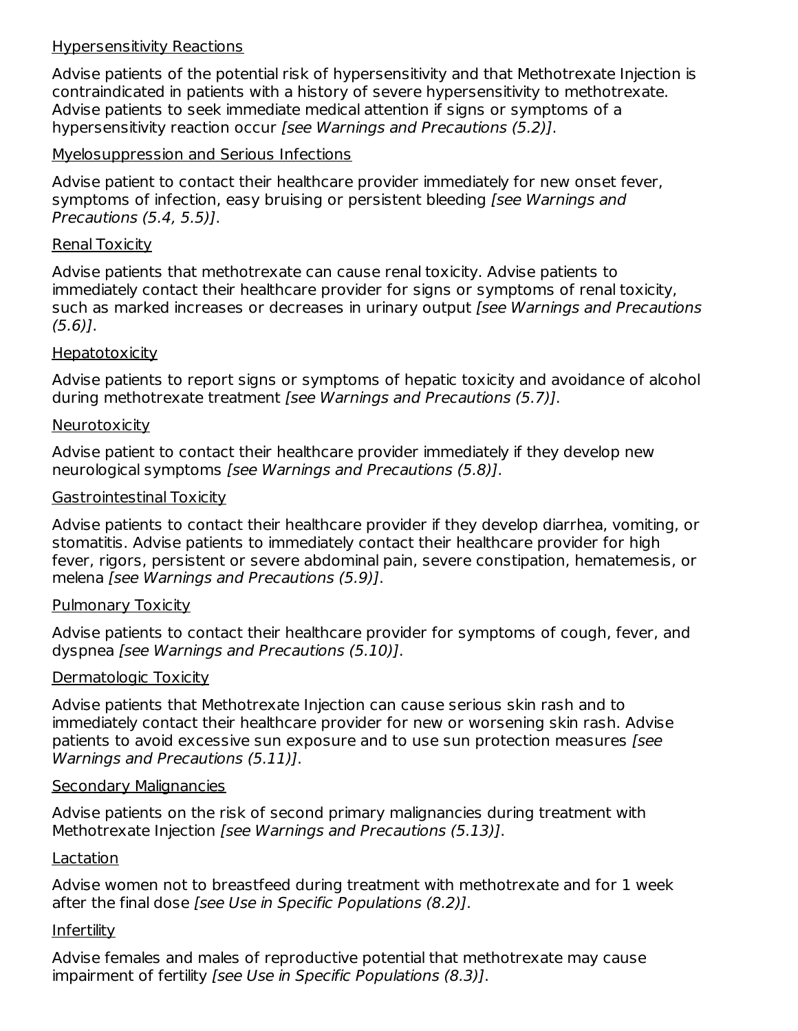#### Hypersensitivity Reactions

Advise patients of the potential risk of hypersensitivity and that Methotrexate Injection is contraindicated in patients with a history of severe hypersensitivity to methotrexate. Advise patients to seek immediate medical attention if signs or symptoms of a hypersensitivity reaction occur [see Warnings and Precautions (5.2)].

#### Myelosuppression and Serious Infections

Advise patient to contact their healthcare provider immediately for new onset fever, symptoms of infection, easy bruising or persistent bleeding [see Warnings and Precautions (5.4, 5.5)].

#### Renal Toxicity

Advise patients that methotrexate can cause renal toxicity. Advise patients to immediately contact their healthcare provider for signs or symptoms of renal toxicity, such as marked increases or decreases in urinary output [see Warnings and Precautions  $(5.6)$ ].

#### **Hepatotoxicity**

Advise patients to report signs or symptoms of hepatic toxicity and avoidance of alcohol during methotrexate treatment [see Warnings and Precautions (5.7)].

#### **Neurotoxicity**

Advise patient to contact their healthcare provider immediately if they develop new neurological symptoms [see Warnings and Precautions (5.8)].

#### Gastrointestinal Toxicity

Advise patients to contact their healthcare provider if they develop diarrhea, vomiting, or stomatitis. Advise patients to immediately contact their healthcare provider for high fever, rigors, persistent or severe abdominal pain, severe constipation, hematemesis, or melena [see Warnings and Precautions (5.9)].

#### Pulmonary Toxicity

Advise patients to contact their healthcare provider for symptoms of cough, fever, and dyspnea [see Warnings and Precautions (5.10)].

#### Dermatologic Toxicity

Advise patients that Methotrexate Injection can cause serious skin rash and to immediately contact their healthcare provider for new or worsening skin rash. Advise patients to avoid excessive sun exposure and to use sun protection measures [see Warnings and Precautions (5.11)].

#### Secondary Malignancies

Advise patients on the risk of second primary malignancies during treatment with Methotrexate Injection [see Warnings and Precautions (5.13)].

#### **Lactation**

Advise women not to breastfeed during treatment with methotrexate and for 1 week after the final dose [see Use in Specific Populations (8.2)].

#### Infertility

Advise females and males of reproductive potential that methotrexate may cause impairment of fertility [see Use in Specific Populations (8.3)].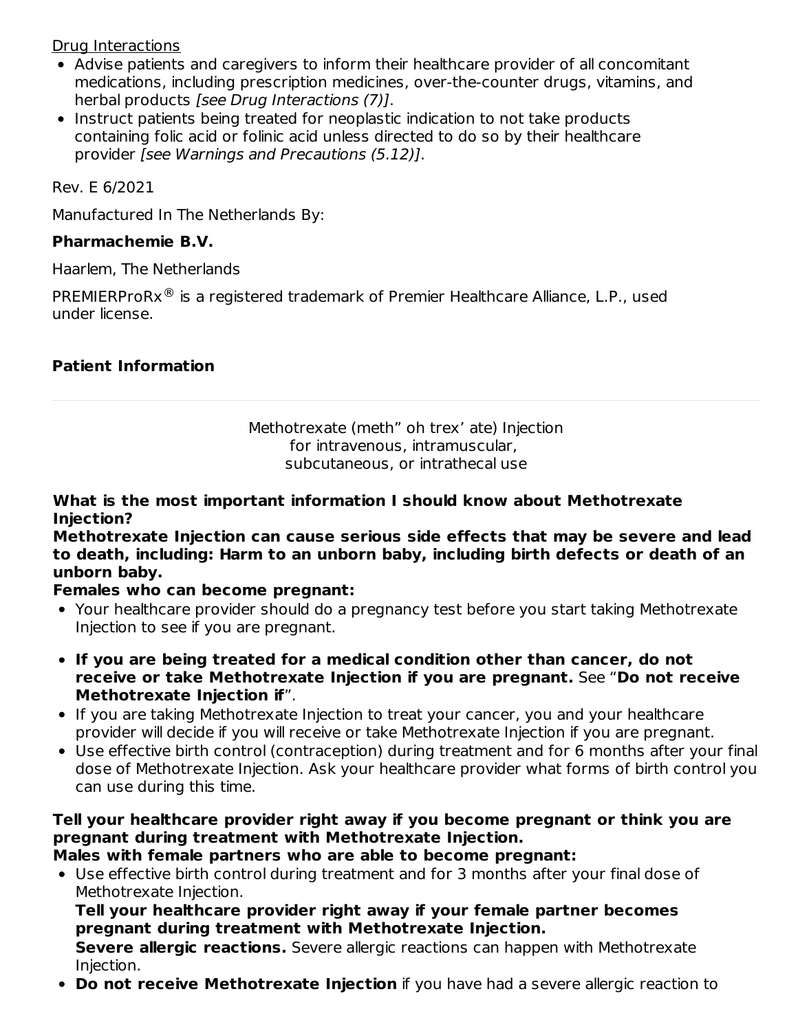Drug Interactions

- Advise patients and caregivers to inform their healthcare provider of all concomitant medications, including prescription medicines, over-the-counter drugs, vitamins, and herbal products [see Drug Interactions (7)].
- Instruct patients being treated for neoplastic indication to not take products containing folic acid or folinic acid unless directed to do so by their healthcare provider [see Warnings and Precautions (5.12)].

Rev. E 6/2021

Manufactured In The Netherlands By:

### **Pharmachemie B.V.**

Haarlem, The Netherlands

PREMIERProR $x^@$  is a registered trademark of Premier Healthcare Alliance, L.P., used under license.

## **Patient Information**

Methotrexate (meth" oh trex' ate) Injection for intravenous, intramuscular, subcutaneous, or intrathecal use

#### **What is the most important information I should know about Methotrexate Injection?**

**Methotrexate Injection can cause serious side effects that may be severe and lead to death, including: Harm to an unborn baby, including birth defects or death of an unborn baby.**

### **Females who can become pregnant:**

- Your healthcare provider should do a pregnancy test before you start taking Methotrexate Injection to see if you are pregnant.
- **If you are being treated for a medical condition other than cancer, do not receive or take Methotrexate Injection if you are pregnant.** See "**Do not receive Methotrexate Injection if**".
- If you are taking Methotrexate Injection to treat your cancer, you and your healthcare provider will decide if you will receive or take Methotrexate Injection if you are pregnant.
- Use effective birth control (contraception) during treatment and for 6 months after your final dose of Methotrexate Injection. Ask your healthcare provider what forms of birth control you can use during this time.

### **Tell your healthcare provider right away if you become pregnant or think you are pregnant during treatment with Methotrexate Injection.**

**Males with female partners who are able to become pregnant:**

Use effective birth control during treatment and for 3 months after your final dose of Methotrexate Injection.

#### **Tell your healthcare provider right away if your female partner becomes pregnant during treatment with Methotrexate Injection.**

**Severe allergic reactions.** Severe allergic reactions can happen with Methotrexate Injection.

**Do not receive Methotrexate Injection** if you have had a severe allergic reaction to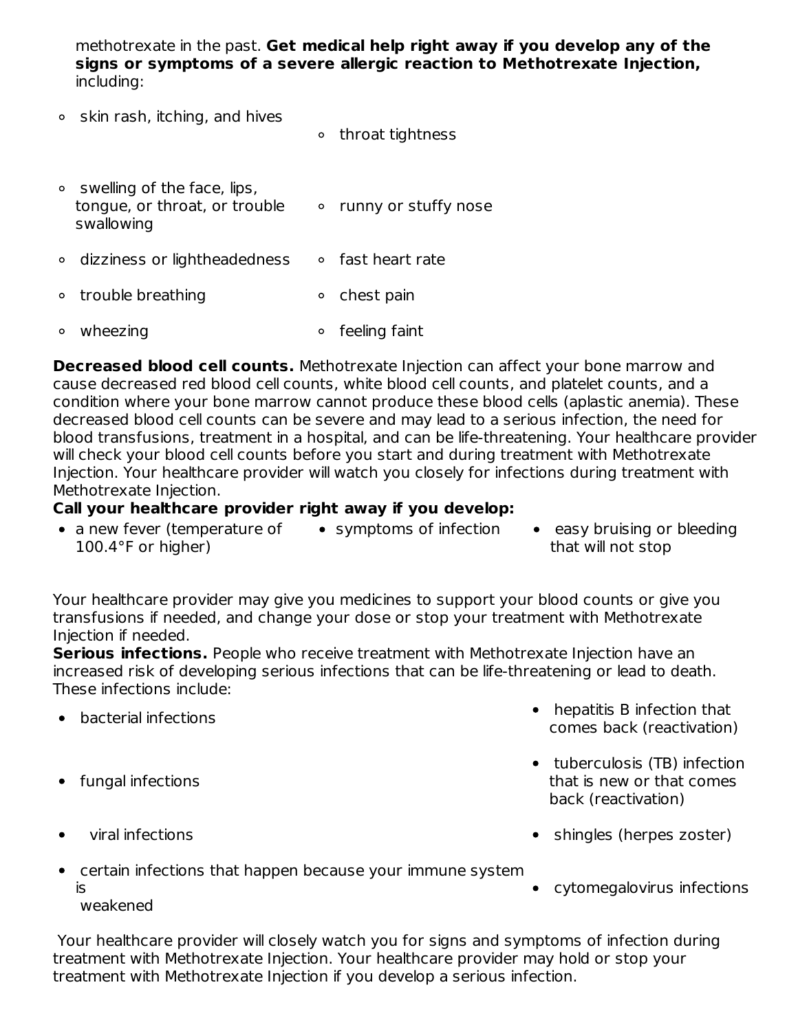methotrexate in the past. **Get medical help right away if you develop any of the signs or symptoms of a severe allergic reaction to Methotrexate Injection,** including:

- $\circ$  skin rash, itching, and hives
- throat tightness
- $\circ$  swelling of the face, lips, tongue, or throat, or trouble swallowing • runny or stuffy nose
- $\circ$  dizziness or lightheadedness  $\circ$  fast heart rate
- trouble breathing **chest pain**
- wheezing **feeling** faint

**Decreased blood cell counts.** Methotrexate Injection can affect your bone marrow and cause decreased red blood cell counts, white blood cell counts, and platelet counts, and a condition where your bone marrow cannot produce these blood cells (aplastic anemia). These decreased blood cell counts can be severe and may lead to a serious infection, the need for blood transfusions, treatment in a hospital, and can be life-threatening. Your healthcare provider will check your blood cell counts before you start and during treatment with Methotrexate Injection. Your healthcare provider will watch you closely for infections during treatment with Methotrexate Injection.

### **Call your healthcare provider right away if you develop:**

- a new fever (temperature of 100.4°F or higher)
- 
- symptoms of infection easy bruising or bleeding that will not stop

Your healthcare provider may give you medicines to support your blood counts or give you transfusions if needed, and change your dose or stop your treatment with Methotrexate Injection if needed.

**Serious infections.** People who receive treatment with Methotrexate Injection have an increased risk of developing serious infections that can be life-threatening or lead to death. These infections include:

- bacterial infections
- fungal infections

 $\bullet$ 

- back (reactivation)
- 
- viral infections shingles (herpes zoster)

• hepatitis B infection that comes back (reactivation)

• tuberculosis (TB) infection that is new or that comes

- certain infections that happen because your immune system  $\bullet$ is weakened
	- cytomegalovirus infections

Your healthcare provider will closely watch you for signs and symptoms of infection during treatment with Methotrexate Injection. Your healthcare provider may hold or stop your treatment with Methotrexate Injection if you develop a serious infection.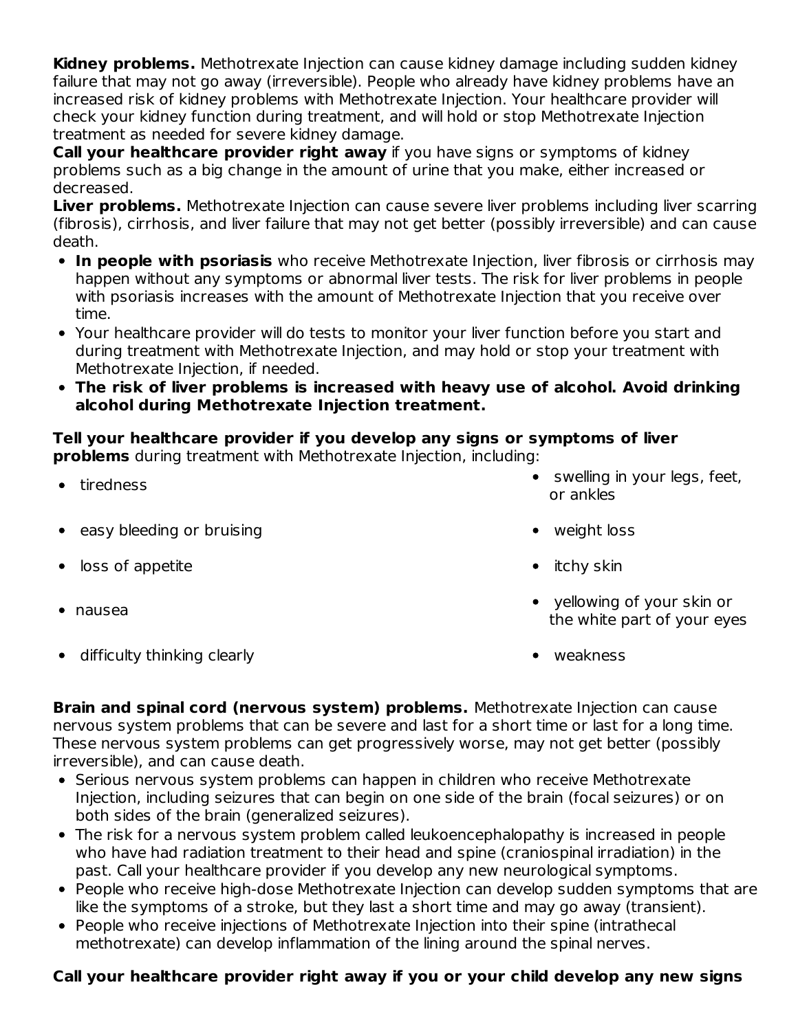**Kidney problems.** Methotrexate Injection can cause kidney damage including sudden kidney failure that may not go away (irreversible). People who already have kidney problems have an increased risk of kidney problems with Methotrexate Injection. Your healthcare provider will check your kidney function during treatment, and will hold or stop Methotrexate Injection treatment as needed for severe kidney damage.

**Call your healthcare provider right away** if you have signs or symptoms of kidney problems such as a big change in the amount of urine that you make, either increased or decreased.

**Liver problems.** Methotrexate Injection can cause severe liver problems including liver scarring (fibrosis), cirrhosis, and liver failure that may not get better (possibly irreversible) and can cause death.

- **In people with psoriasis** who receive Methotrexate Injection, liver fibrosis or cirrhosis may happen without any symptoms or abnormal liver tests. The risk for liver problems in people with psoriasis increases with the amount of Methotrexate Injection that you receive over time.
- Your healthcare provider will do tests to monitor your liver function before you start and during treatment with Methotrexate Injection, and may hold or stop your treatment with Methotrexate Injection, if needed.
- **The risk of liver problems is increased with heavy use of alcohol. Avoid drinking alcohol during Methotrexate Injection treatment.**

# **Tell your healthcare provider if you develop any signs or symptoms of liver**

**problems** during treatment with Methotrexate Injection, including:

**•** tiredness

- swelling in your legs, feet, or ankles
- easy bleeding or bruising weight loss weight loss  $\bullet$
- loss of appetite itchy skin  $\bullet$
- nausea
- difficulty thinking clearly weakness  $\bullet$
- 
- 
- 
- yellowing of your skin or the white part of your eyes
- 

**Brain and spinal cord (nervous system) problems.** Methotrexate Injection can cause nervous system problems that can be severe and last for a short time or last for a long time. These nervous system problems can get progressively worse, may not get better (possibly irreversible), and can cause death.

- Serious nervous system problems can happen in children who receive Methotrexate Injection, including seizures that can begin on one side of the brain (focal seizures) or on both sides of the brain (generalized seizures).
- The risk for a nervous system problem called leukoencephalopathy is increased in people who have had radiation treatment to their head and spine (craniospinal irradiation) in the past. Call your healthcare provider if you develop any new neurological symptoms.
- People who receive high-dose Methotrexate Injection can develop sudden symptoms that are like the symptoms of a stroke, but they last a short time and may go away (transient).
- People who receive injections of Methotrexate Injection into their spine (intrathecal methotrexate) can develop inflammation of the lining around the spinal nerves.

## **Call your healthcare provider right away if you or your child develop any new signs**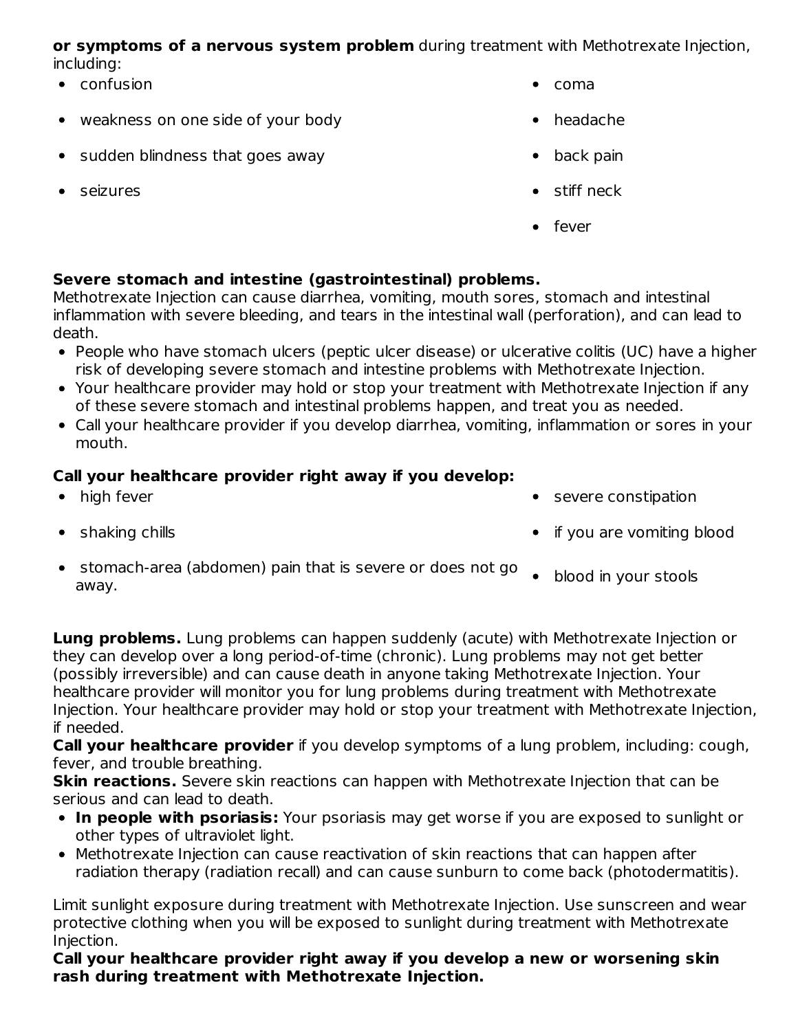**or symptoms of a nervous system problem** during treatment with Methotrexate Injection, including:

- confusion coma
- weakness on one side of your body headache headache
- sudden blindness that goes away back pain
- 
- 
- 
- 
- seizures stiff neck
	- fever

## **Severe stomach and intestine (gastrointestinal) problems.**

Methotrexate Injection can cause diarrhea, vomiting, mouth sores, stomach and intestinal inflammation with severe bleeding, and tears in the intestinal wall (perforation), and can lead to death.

- People who have stomach ulcers (peptic ulcer disease) or ulcerative colitis (UC) have a higher risk of developing severe stomach and intestine problems with Methotrexate Injection.
- Your healthcare provider may hold or stop your treatment with Methotrexate Injection if any of these severe stomach and intestinal problems happen, and treat you as needed.
- Call your healthcare provider if you develop diarrhea, vomiting, inflammation or sores in your mouth.

## **Call your healthcare provider right away if you develop:**

- high fever severe constipation
- 
- 
- shaking chills if you are vomiting blood
- stomach-area (abdomen) pain that is severe or does not go blood in your stools away.

**Lung problems.** Lung problems can happen suddenly (acute) with Methotrexate Injection or they can develop over a long period-of-time (chronic). Lung problems may not get better (possibly irreversible) and can cause death in anyone taking Methotrexate Injection. Your healthcare provider will monitor you for lung problems during treatment with Methotrexate Injection. Your healthcare provider may hold or stop your treatment with Methotrexate Injection, if needed.

**Call your healthcare provider** if you develop symptoms of a lung problem, including: cough, fever, and trouble breathing.

**Skin reactions.** Severe skin reactions can happen with Methotrexate Injection that can be serious and can lead to death.

- **In people with psoriasis:** Your psoriasis may get worse if you are exposed to sunlight or other types of ultraviolet light.
- Methotrexate Injection can cause reactivation of skin reactions that can happen after radiation therapy (radiation recall) and can cause sunburn to come back (photodermatitis).

Limit sunlight exposure during treatment with Methotrexate Injection. Use sunscreen and wear protective clothing when you will be exposed to sunlight during treatment with Methotrexate Injection.

**Call your healthcare provider right away if you develop a new or worsening skin rash during treatment with Methotrexate Injection.**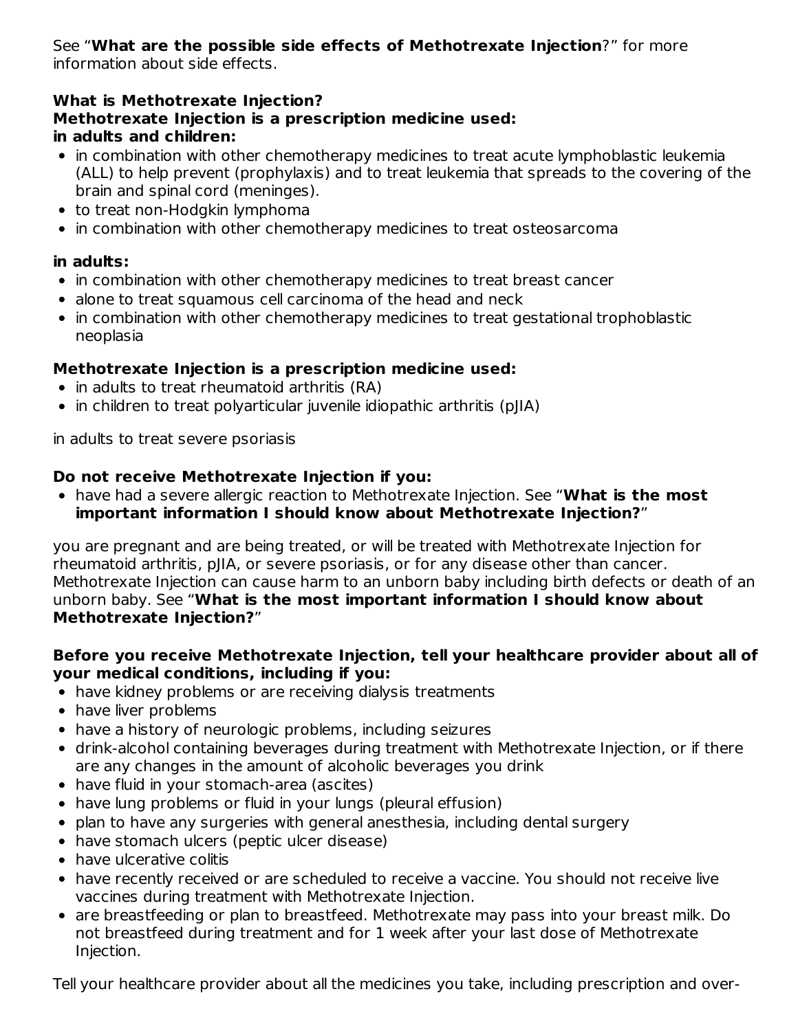#### See "**What are the possible side effects of Methotrexate Injection**?" for more information about side effects.

### **What is Methotrexate Injection? Methotrexate Injection is a prescription medicine used: in adults and children:**

- in combination with other chemotherapy medicines to treat acute lymphoblastic leukemia (ALL) to help prevent (prophylaxis) and to treat leukemia that spreads to the covering of the brain and spinal cord (meninges).
- to treat non-Hodgkin lymphoma
- in combination with other chemotherapy medicines to treat osteosarcoma

## **in adults:**

- in combination with other chemotherapy medicines to treat breast cancer
- alone to treat squamous cell carcinoma of the head and neck
- in combination with other chemotherapy medicines to treat gestational trophoblastic neoplasia

## **Methotrexate Injection is a prescription medicine used:**

- in adults to treat rheumatoid arthritis (RA)
- in children to treat polyarticular juvenile idiopathic arthritis (pJIA)

in adults to treat severe psoriasis

## **Do not receive Methotrexate Injection if you:**

have had a severe allergic reaction to Methotrexate Injection. See "**What is the most important information I should know about Methotrexate Injection?**"

you are pregnant and are being treated, or will be treated with Methotrexate Injection for rheumatoid arthritis, pJIA, or severe psoriasis, or for any disease other than cancer. Methotrexate Injection can cause harm to an unborn baby including birth defects or death of an unborn baby. See "**What is the most important information I should know about Methotrexate Injection?**"

### **Before you receive Methotrexate Injection, tell your healthcare provider about all of your medical conditions, including if you:**

- have kidney problems or are receiving dialysis treatments
- have liver problems
- have a history of neurologic problems, including seizures
- drink-alcohol containing beverages during treatment with Methotrexate Injection, or if there are any changes in the amount of alcoholic beverages you drink
- have fluid in your stomach-area (ascites)
- have lung problems or fluid in your lungs (pleural effusion)
- plan to have any surgeries with general anesthesia, including dental surgery
- have stomach ulcers (peptic ulcer disease)
- have ulcerative colitis
- have recently received or are scheduled to receive a vaccine. You should not receive live vaccines during treatment with Methotrexate Injection.
- are breastfeeding or plan to breastfeed. Methotrexate may pass into your breast milk. Do not breastfeed during treatment and for 1 week after your last dose of Methotrexate Injection.

Tell your healthcare provider about all the medicines you take, including prescription and over-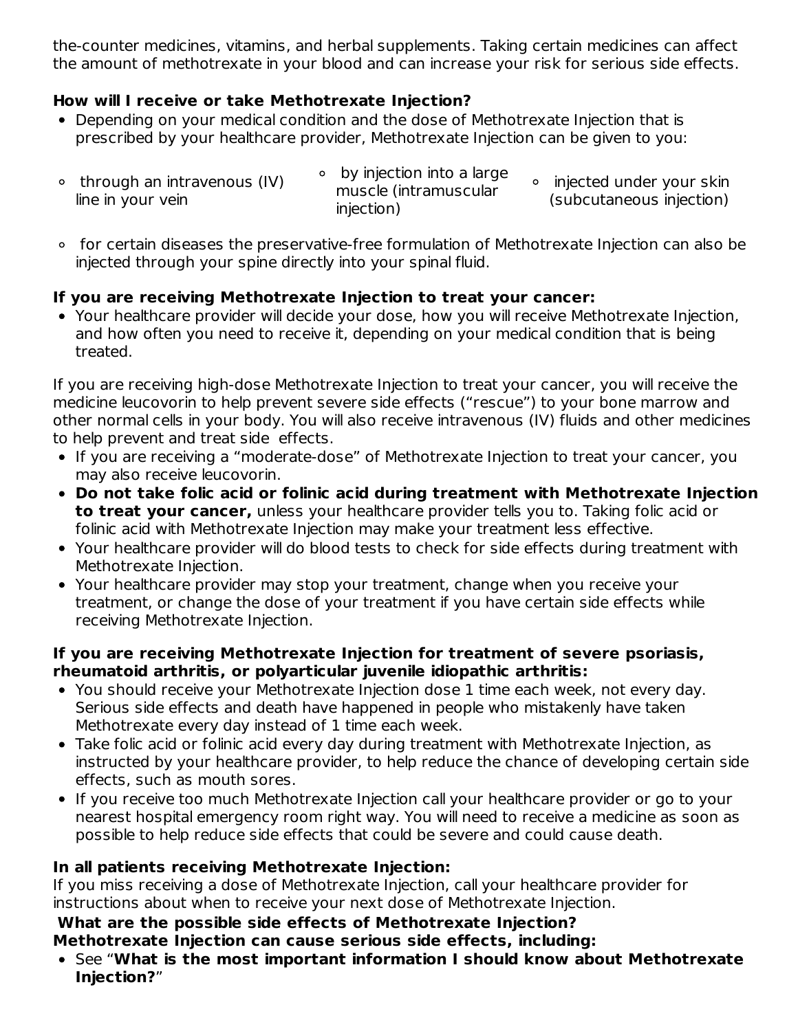the-counter medicines, vitamins, and herbal supplements. Taking certain medicines can affect the amount of methotrexate in your blood and can increase your risk for serious side effects.

### **How will I receive or take Methotrexate Injection?**

- Depending on your medical condition and the dose of Methotrexate Injection that is prescribed by your healthcare provider, Methotrexate Injection can be given to you:
- through an intravenous (IV) line in your vein by injection into a large muscle (intramuscular injection) • injected under your skin (subcutaneous injection)
- for certain diseases the preservative-free formulation of Methotrexate Injection can also be injected through your spine directly into your spinal fluid.

## **If you are receiving Methotrexate Injection to treat your cancer:**

Your healthcare provider will decide your dose, how you will receive Methotrexate Injection, and how often you need to receive it, depending on your medical condition that is being treated.

If you are receiving high-dose Methotrexate Injection to treat your cancer, you will receive the medicine leucovorin to help prevent severe side effects ("rescue") to your bone marrow and other normal cells in your body. You will also receive intravenous (IV) fluids and other medicines to help prevent and treat side effects.

- If you are receiving a "moderate-dose" of Methotrexate Injection to treat your cancer, you may also receive leucovorin.
- **Do not take folic acid or folinic acid during treatment with Methotrexate Injection to treat your cancer,** unless your healthcare provider tells you to. Taking folic acid or folinic acid with Methotrexate Injection may make your treatment less effective.
- Your healthcare provider will do blood tests to check for side effects during treatment with Methotrexate Injection.
- Your healthcare provider may stop your treatment, change when you receive your treatment, or change the dose of your treatment if you have certain side effects while receiving Methotrexate Injection.

### **If you are receiving Methotrexate Injection for treatment of severe psoriasis, rheumatoid arthritis, or polyarticular juvenile idiopathic arthritis:**

- You should receive your Methotrexate Injection dose 1 time each week, not every day. Serious side effects and death have happened in people who mistakenly have taken Methotrexate every day instead of 1 time each week.
- Take folic acid or folinic acid every day during treatment with Methotrexate Injection, as instructed by your healthcare provider, to help reduce the chance of developing certain side effects, such as mouth sores.
- If you receive too much Methotrexate Injection call your healthcare provider or go to your nearest hospital emergency room right way. You will need to receive a medicine as soon as possible to help reduce side effects that could be severe and could cause death.

## **In all patients receiving Methotrexate Injection:**

If you miss receiving a dose of Methotrexate Injection, call your healthcare provider for instructions about when to receive your next dose of Methotrexate Injection.

#### **What are the possible side effects of Methotrexate Injection? Methotrexate Injection can cause serious side effects, including:**

See "**What is the most important information I should know about Methotrexate Injection?**"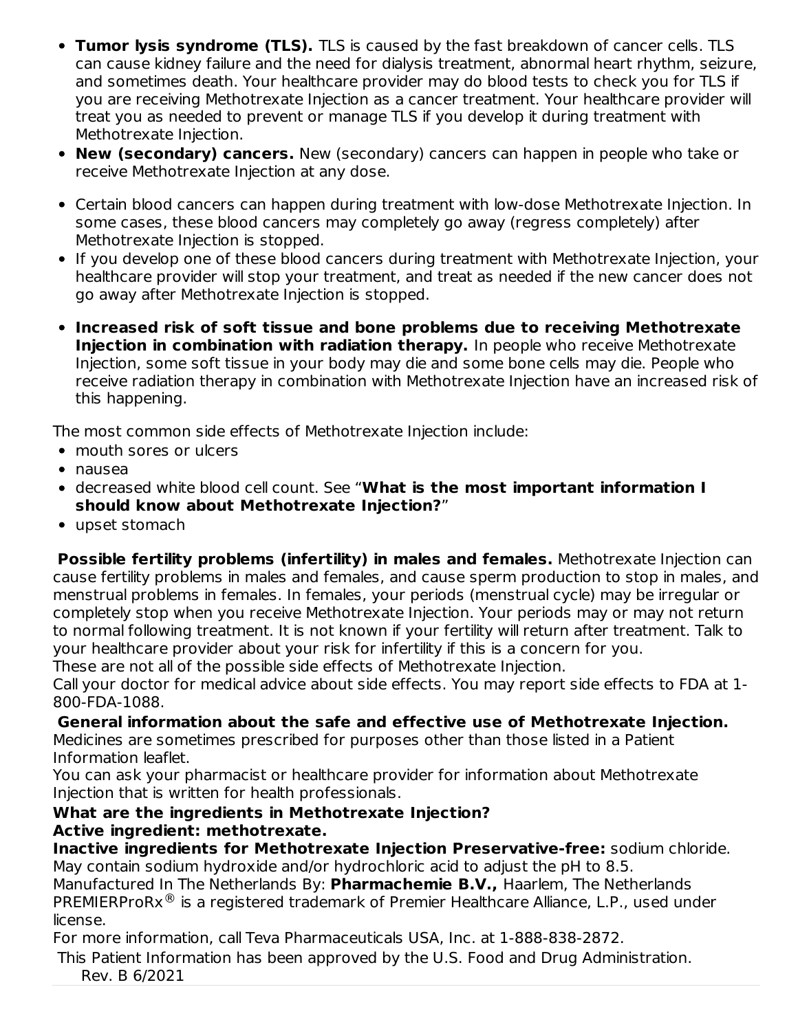- **Tumor lysis syndrome (TLS).** TLS is caused by the fast breakdown of cancer cells. TLS can cause kidney failure and the need for dialysis treatment, abnormal heart rhythm, seizure, and sometimes death. Your healthcare provider may do blood tests to check you for TLS if you are receiving Methotrexate Injection as a cancer treatment. Your healthcare provider will treat you as needed to prevent or manage TLS if you develop it during treatment with Methotrexate Injection.
- **New (secondary) cancers.** New (secondary) cancers can happen in people who take or receive Methotrexate Injection at any dose.
- Certain blood cancers can happen during treatment with low-dose Methotrexate Injection. In some cases, these blood cancers may completely go away (regress completely) after Methotrexate Injection is stopped.
- If you develop one of these blood cancers during treatment with Methotrexate Injection, your healthcare provider will stop your treatment, and treat as needed if the new cancer does not go away after Methotrexate Injection is stopped.
- **Increased risk of soft tissue and bone problems due to receiving Methotrexate Injection in combination with radiation therapy.** In people who receive Methotrexate Injection, some soft tissue in your body may die and some bone cells may die. People who receive radiation therapy in combination with Methotrexate Injection have an increased risk of this happening.

The most common side effects of Methotrexate Injection include:

- mouth sores or ulcers
- nausea
- decreased white blood cell count. See "**What is the most important information I should know about Methotrexate Injection?**"
- upset stomach

**Possible fertility problems (infertility) in males and females.** Methotrexate Injection can cause fertility problems in males and females, and cause sperm production to stop in males, and menstrual problems in females. In females, your periods (menstrual cycle) may be irregular or completely stop when you receive Methotrexate Injection. Your periods may or may not return to normal following treatment. It is not known if your fertility will return after treatment. Talk to your healthcare provider about your risk for infertility if this is a concern for you.

These are not all of the possible side effects of Methotrexate Injection.

Call your doctor for medical advice about side effects. You may report side effects to FDA at 1- 800-FDA-1088.

**General information about the safe and effective use of Methotrexate Injection.**

Medicines are sometimes prescribed for purposes other than those listed in a Patient Information leaflet.

You can ask your pharmacist or healthcare provider for information about Methotrexate Injection that is written for health professionals.

#### **What are the ingredients in Methotrexate Injection? Active ingredient: methotrexate.**

**Inactive ingredients for Methotrexate Injection Preservative-free:** sodium chloride. May contain sodium hydroxide and/or hydrochloric acid to adjust the pH to 8.5.

Manufactured In The Netherlands By: **Pharmachemie B.V.,** Haarlem, The Netherlands  $\mathsf{PREMIERProRx}^{\circledR}$  is a registered trademark of Premier Healthcare Alliance, L.P., used under license.

For more information, call Teva Pharmaceuticals USA, Inc. at 1-888-838-2872.

This Patient Information has been approved by the U.S. Food and Drug Administration.

Rev. B 6/2021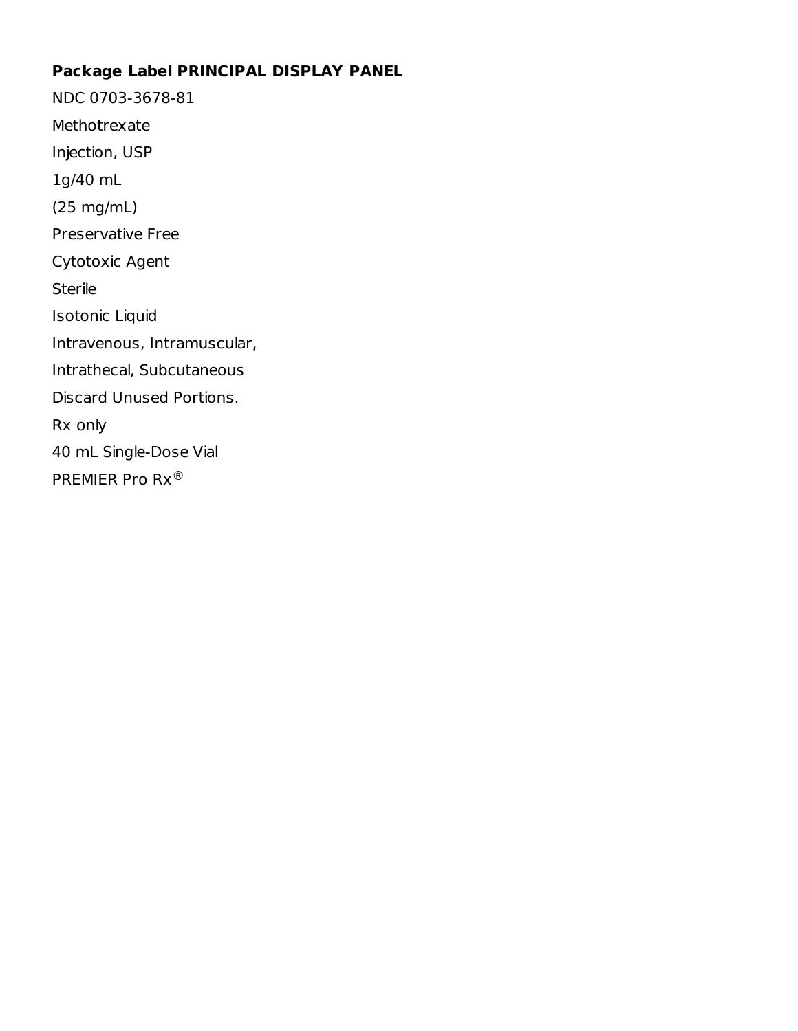### **Package Label PRINCIPAL DISPLAY PANEL**

NDC 0703-3678-81 Methotrexate Injection, USP 1g/40 mL (25 mg/mL) Preservative Free Cytotoxic Agent Sterile Isotonic Liquid Intravenous, Intramuscular, Intrathecal, Subcutaneous Discard Unused Portions. Rx only 40 mL Single-Dose Vial PREMIER Pro Rx®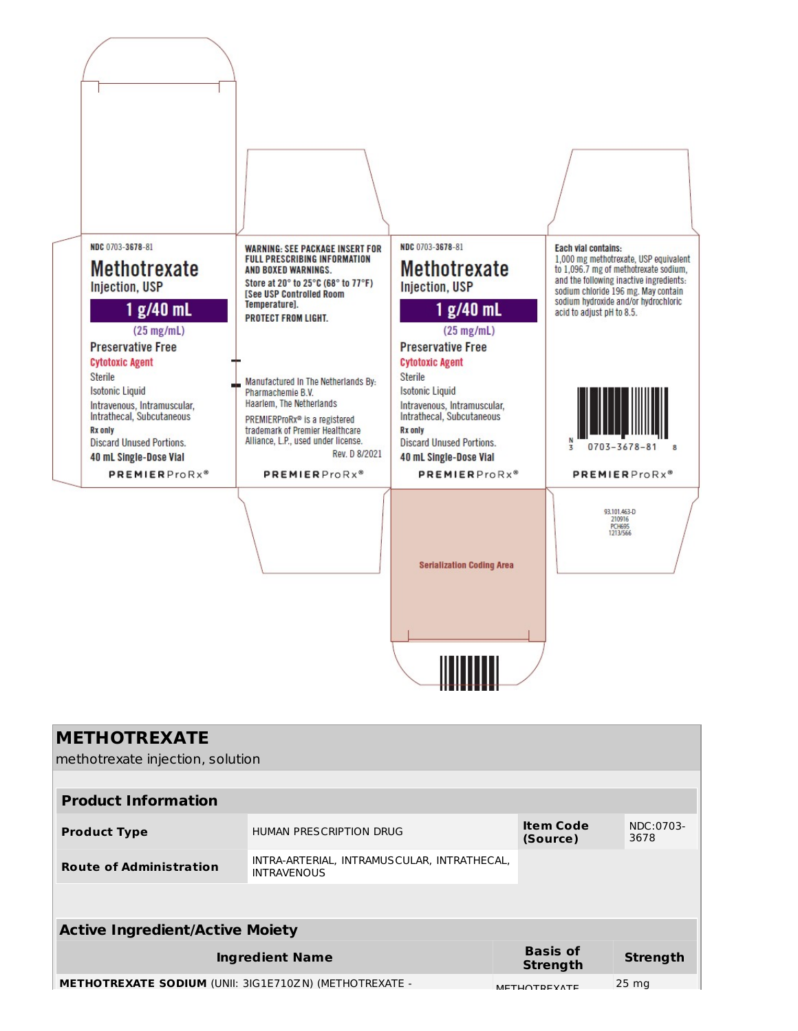

| <b>METHOTREXATE</b><br>methotrexate injection, solution       |                                                                   |                              |                   |  |  |  |  |
|---------------------------------------------------------------|-------------------------------------------------------------------|------------------------------|-------------------|--|--|--|--|
| <b>Product Information</b>                                    |                                                                   |                              |                   |  |  |  |  |
| <b>Product Type</b>                                           | HUMAN PRESCRIPTION DRUG                                           | <b>Item Code</b><br>(Source) | NDC:0703-<br>3678 |  |  |  |  |
| <b>Route of Administration</b>                                | INTRA-ARTERIAL, INTRAMUSCULAR, INTRATHECAL,<br><b>INTRAVENOUS</b> |                              |                   |  |  |  |  |
|                                                               |                                                                   |                              |                   |  |  |  |  |
| <b>Active Ingredient/Active Moiety</b>                        |                                                                   |                              |                   |  |  |  |  |
|                                                               | <b>Ingredient Name</b>                                            | <b>Basis of</b><br>Strength  | <b>Strength</b>   |  |  |  |  |
| <b>METHOTREXATE SODIUM (UNII: 3IG1E710ZN) (METHOTREXATE -</b> |                                                                   | <b>METUOTDEVATE</b>          | $25 \text{ mg}$   |  |  |  |  |